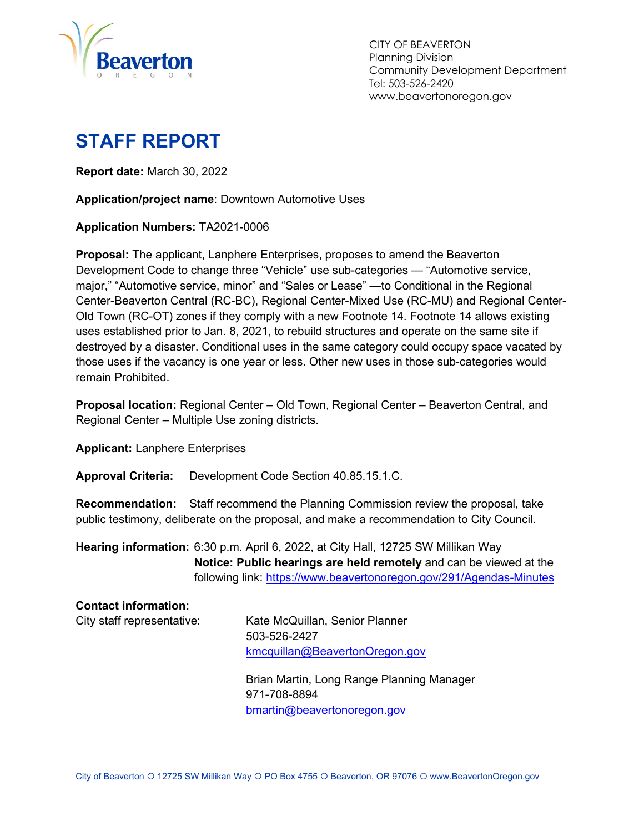

CITY OF BEAVERTON Planning Division Community Development Department Tel: 503-526-2420 www.beavertonoregon.gov

# <span id="page-0-0"></span>**STAFF REPORT**

**Report date:** March 30, 2022

**Application/project name**: Downtown Automotive Uses

**Application Numbers:** TA2021-0006

**Proposal:** The applicant, Lanphere Enterprises, proposes to amend the Beaverton Development Code to change three "Vehicle" use sub-categories — "Automotive service, major," "Automotive service, minor" and "Sales or Lease" —to Conditional in the Regional Center-Beaverton Central (RC-BC), Regional Center-Mixed Use (RC-MU) and Regional Center-Old Town (RC-OT) zones if they comply with a new Footnote 14. Footnote 14 allows existing uses established prior to Jan. 8, 2021, to rebuild structures and operate on the same site if destroyed by a disaster. Conditional uses in the same category could occupy space vacated by those uses if the vacancy is one year or less. Other new uses in those sub-categories would remain Prohibited.

**Proposal location:** Regional Center – Old Town, Regional Center – Beaverton Central, and Regional Center – Multiple Use zoning districts.

**Applicant:** Lanphere Enterprises

**Approval Criteria:** Development Code Section 40.85.15.1.C.

**Recommendation:** Staff recommend the Planning Commission review the proposal, take public testimony, deliberate on the proposal, and make a recommendation to City Council.

**Hearing information:** 6:30 p.m. April 6, 2022, at City Hall, 12725 SW Millikan Way **Notice: Public hearings are held remotely** and can be viewed at the following link:<https://www.beavertonoregon.gov/291/Agendas-Minutes>

| <b>Contact information:</b> |                                           |
|-----------------------------|-------------------------------------------|
| City staff representative:  | Kate McQuillan, Senior Planner            |
|                             | 503-526-2427                              |
|                             | kmcquillan@BeavertonOregon.gov            |
|                             | Brian Martin, Long Range Planning Manager |
|                             | 971-708-8894                              |
|                             | bmartin@beavertonoregon.gov               |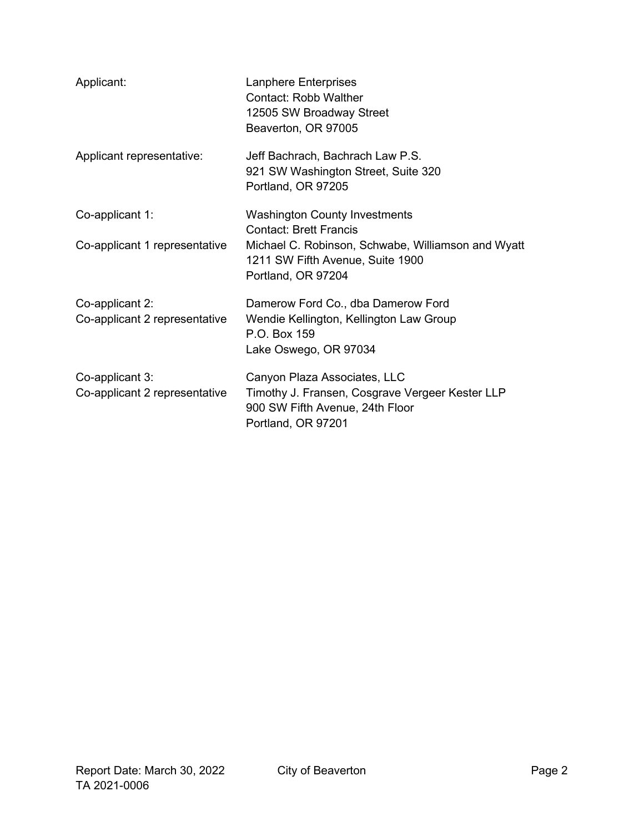| Applicant:                                       | <b>Lanphere Enterprises</b><br><b>Contact: Robb Walther</b><br>12505 SW Broadway Street<br>Beaverton, OR 97005                           |
|--------------------------------------------------|------------------------------------------------------------------------------------------------------------------------------------------|
| Applicant representative:                        | Jeff Bachrach, Bachrach Law P.S.<br>921 SW Washington Street, Suite 320<br>Portland, OR 97205                                            |
| Co-applicant 1:                                  | <b>Washington County Investments</b><br><b>Contact: Brett Francis</b>                                                                    |
| Co-applicant 1 representative                    | Michael C. Robinson, Schwabe, Williamson and Wyatt<br>1211 SW Fifth Avenue, Suite 1900<br>Portland, OR 97204                             |
| Co-applicant 2:<br>Co-applicant 2 representative | Damerow Ford Co., dba Damerow Ford<br>Wendie Kellington, Kellington Law Group<br>P.O. Box 159<br>Lake Oswego, OR 97034                   |
| Co-applicant 3:<br>Co-applicant 2 representative | Canyon Plaza Associates, LLC<br>Timothy J. Fransen, Cosgrave Vergeer Kester LLP<br>900 SW Fifth Avenue, 24th Floor<br>Portland, OR 97201 |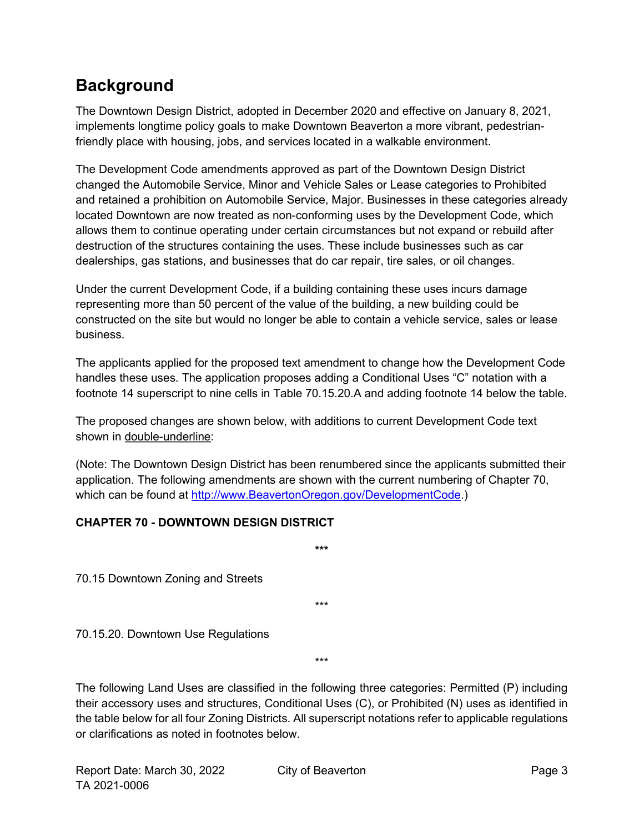## <span id="page-2-0"></span>**Background**

The Downtown Design District, adopted in December 2020 and effective on January 8, 2021, implements longtime policy goals to make Downtown Beaverton a more vibrant, pedestrianfriendly place with housing, jobs, and services located in a walkable environment.

The Development Code amendments approved as part of the Downtown Design District changed the Automobile Service, Minor and Vehicle Sales or Lease categories to Prohibited and retained a prohibition on Automobile Service, Major. Businesses in these categories already located Downtown are now treated as non-conforming uses by the Development Code, which allows them to continue operating under certain circumstances but not expand or rebuild after destruction of the structures containing the uses. These include businesses such as car dealerships, gas stations, and businesses that do car repair, tire sales, or oil changes.

Under the current Development Code, if a building containing these uses incurs damage representing more than 50 percent of the value of the building, a new building could be constructed on the site but would no longer be able to contain a vehicle service, sales or lease business.

The applicants applied for the proposed text amendment to change how the Development Code handles these uses. The application proposes adding a Conditional Uses "C" notation with a footnote 14 superscript to nine cells in Table 70.15.20.A and adding footnote 14 below the table.

The proposed changes are shown below, with additions to current Development Code text shown in double-underline:

(Note: The Downtown Design District has been renumbered since the applicants submitted their application. The following amendments are shown with the current numbering of Chapter 70, which can be found at [http://www.BeavertonOregon.gov/DevelopmentCode.](http://www.beavertonoregon.gov/DevelopmentCode))

#### **CHAPTER 70 - DOWNTOWN DESIGN DISTRICT**

70.15 Downtown Zoning and Streets

\*\*\*

**\*\*\***

70.15.20. Downtown Use Regulations

\*\*\*

The following Land Uses are classified in the following three categories: Permitted (P) including their accessory uses and structures, Conditional Uses (C), or Prohibited (N) uses as identified in the table below for all four Zoning Districts. All superscript notations refer to applicable regulations or clarifications as noted in footnotes below.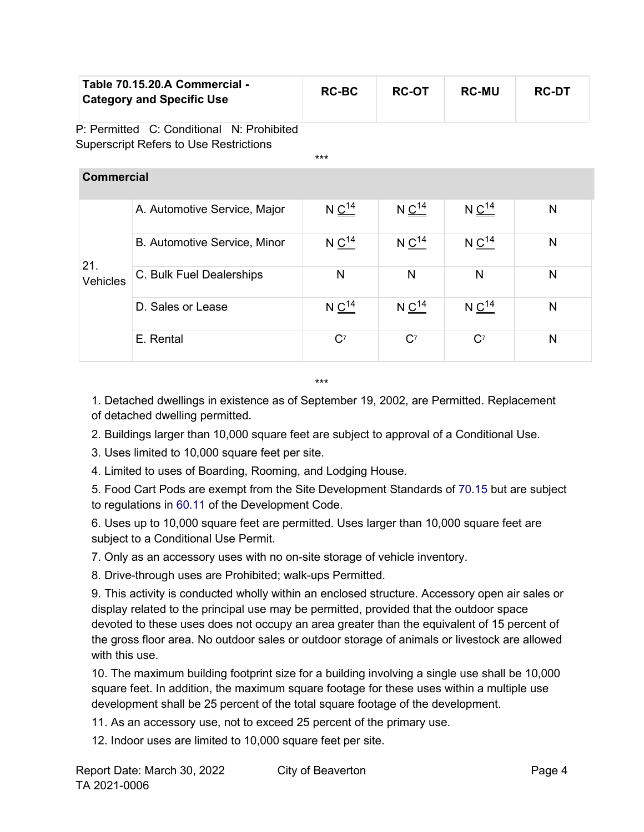| Table 70.15.20.A Commercial -<br><b>Category and Specific Use</b> | <b>RC-BC</b> | <b>RC-OT</b> | <b>RC-MU</b> | <b>RC-DT</b> |
|-------------------------------------------------------------------|--------------|--------------|--------------|--------------|
|-------------------------------------------------------------------|--------------|--------------|--------------|--------------|

\*\*\*

P: Permitted C: Conditional N: Prohibited Superscript Refers to Use Restrictions

| <b>Commercial</b> |                              |                        |                        |                        |   |
|-------------------|------------------------------|------------------------|------------------------|------------------------|---|
| 21.<br>Vehicles   | A. Automotive Service, Major | $N \underline{C^{14}}$ | $N \underline{C}^{14}$ | $N \underline{C^{14}}$ | N |
|                   | B. Automotive Service, Minor | $N \underline{C^{14}}$ | $N \underline{C^{14}}$ | $N \frac{C^{14}}{C}$   | N |
|                   | C. Bulk Fuel Dealerships     | N                      | N                      | N                      | N |
|                   | D. Sales or Lease            | $N C^{14}$             | $N \frac{C^{14}}{C}$   | $N C^{14}$             | N |
|                   | E. Rental                    | $C^7$                  | $C^7$                  | $C^7$                  | N |

\*\*\*

1. Detached dwellings in existence as of September 19, 2002, are Permitted. Replacement of detached dwelling permitted.

2. Buildings larger than 10,000 square feet are subject to approval of a Conditional Use.

3. Uses limited to 10,000 square feet per site.

4. Limited to uses of Boarding, Rooming, and Lodging House.

5. Food Cart Pods are exempt from the Site Development Standards of 70.15 but are subject to regulations in 60.11 of the Development Code.

6. Uses up to 10,000 square feet are permitted. Uses larger than 10,000 square feet are subject to a Conditional Use Permit.

7. Only as an accessory uses with no on-site storage of vehicle inventory.

8. Drive-through uses are Prohibited; walk-ups Permitted.

9. This activity is conducted wholly within an enclosed structure. Accessory open air sales or display related to the principal use may be permitted, provided that the outdoor space devoted to these uses does not occupy an area greater than the equivalent of 15 percent of the gross floor area. No outdoor sales or outdoor storage of animals or livestock are allowed with this use.

10. The maximum building footprint size for a building involving a single use shall be 10,000 square feet. In addition, the maximum square footage for these uses within a multiple use development shall be 25 percent of the total square footage of the development.

11. As an accessory use, not to exceed 25 percent of the primary use.

12. Indoor uses are limited to 10,000 square feet per site.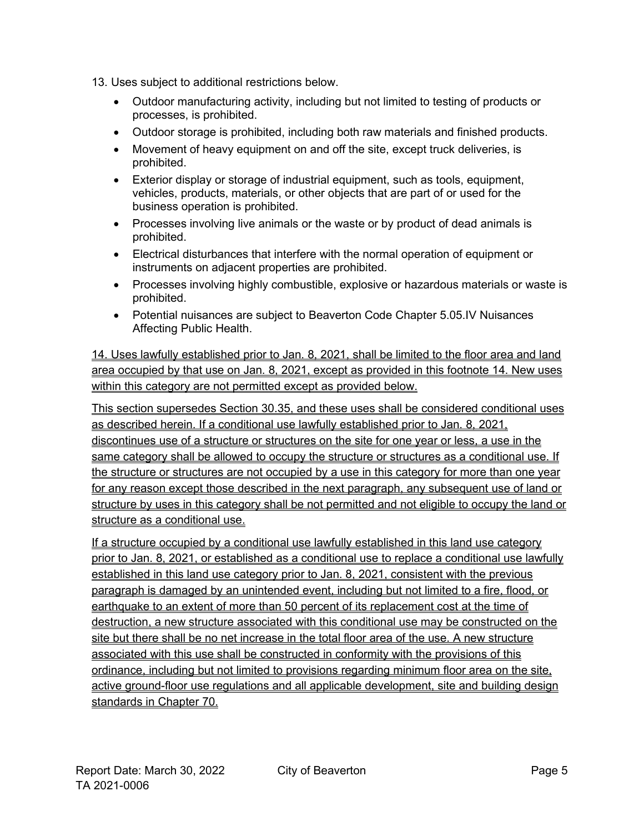- 13. Uses subject to additional restrictions below.
	- Outdoor manufacturing activity, including but not limited to testing of products or processes, is prohibited.
	- Outdoor storage is prohibited, including both raw materials and finished products.
	- Movement of heavy equipment on and off the site, except truck deliveries, is prohibited.
	- Exterior display or storage of industrial equipment, such as tools, equipment, vehicles, products, materials, or other objects that are part of or used for the business operation is prohibited.
	- Processes involving live animals or the waste or by product of dead animals is prohibited.
	- Electrical disturbances that interfere with the normal operation of equipment or instruments on adjacent properties are prohibited.
	- Processes involving highly combustible, explosive or hazardous materials or waste is prohibited.
	- Potential nuisances are subject to Beaverton Code Chapter 5.05.IV Nuisances Affecting Public Health.

14. Uses lawfully established prior to Jan. 8, 2021, shall be limited to the floor area and land area occupied by that use on Jan. 8, 2021, except as provided in this footnote 14. New uses within this category are not permitted except as provided below.

This section supersedes Section 30.35, and these uses shall be considered conditional uses as described herein. If a conditional use lawfully established prior to Jan. 8, 2021, discontinues use of a structure or structures on the site for one year or less, a use in the same category shall be allowed to occupy the structure or structures as a conditional use. If the structure or structures are not occupied by a use in this category for more than one year for any reason except those described in the next paragraph, any subsequent use of land or structure by uses in this category shall be not permitted and not eligible to occupy the land or structure as a conditional use.

If a structure occupied by a conditional use lawfully established in this land use category prior to Jan. 8, 2021, or established as a conditional use to replace a conditional use lawfully established in this land use category prior to Jan. 8, 2021, consistent with the previous paragraph is damaged by an unintended event, including but not limited to a fire, flood, or earthquake to an extent of more than 50 percent of its replacement cost at the time of destruction, a new structure associated with this conditional use may be constructed on the site but there shall be no net increase in the total floor area of the use. A new structure associated with this use shall be constructed in conformity with the provisions of this ordinance, including but not limited to provisions regarding minimum floor area on the site, active ground-floor use regulations and all applicable development, site and building design standards in Chapter 70.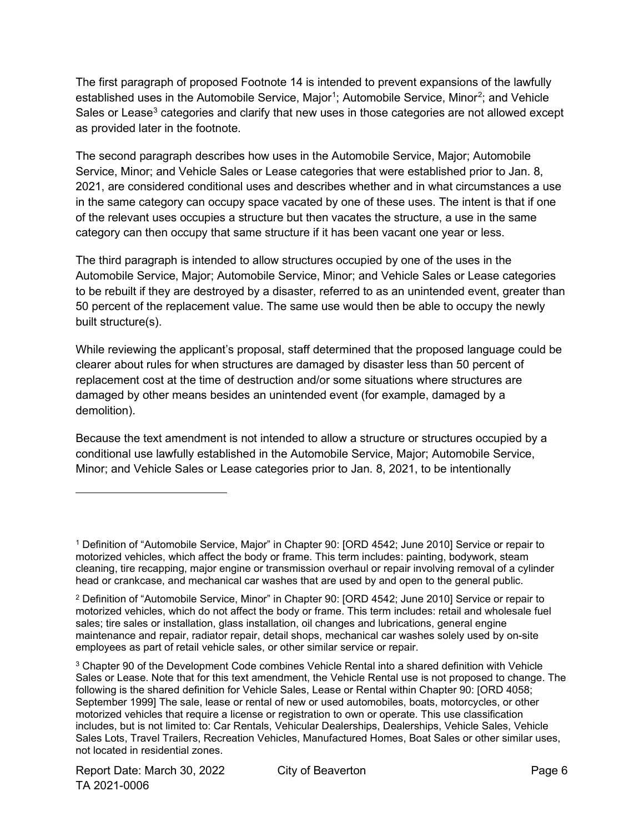The first paragraph of proposed Footnote 14 is intended to prevent expansions of the lawfully established uses in the Automobile Service, Major<sup>[1](#page-5-0)</sup>; Automobile Service, Minor<sup>[2](#page-5-1)</sup>; and Vehicle Sales or Lease<sup>[3](#page-5-2)</sup> categories and clarify that new uses in those categories are not allowed except as provided later in the footnote.

The second paragraph describes how uses in the Automobile Service, Major; Automobile Service, Minor; and Vehicle Sales or Lease categories that were established prior to Jan. 8, 2021, are considered conditional uses and describes whether and in what circumstances a use in the same category can occupy space vacated by one of these uses. The intent is that if one of the relevant uses occupies a structure but then vacates the structure, a use in the same category can then occupy that same structure if it has been vacant one year or less.

The third paragraph is intended to allow structures occupied by one of the uses in the Automobile Service, Major; Automobile Service, Minor; and Vehicle Sales or Lease categories to be rebuilt if they are destroyed by a disaster, referred to as an unintended event, greater than 50 percent of the replacement value. The same use would then be able to occupy the newly built structure(s).

While reviewing the applicant's proposal, staff determined that the proposed language could be clearer about rules for when structures are damaged by disaster less than 50 percent of replacement cost at the time of destruction and/or some situations where structures are damaged by other means besides an unintended event (for example, damaged by a demolition).

Because the text amendment is not intended to allow a structure or structures occupied by a conditional use lawfully established in the Automobile Service, Major; Automobile Service, Minor; and Vehicle Sales or Lease categories prior to Jan. 8, 2021, to be intentionally

<span id="page-5-0"></span><sup>1</sup> Definition of "Automobile Service, Major" in Chapter 90: [ORD 4542; June 2010] Service or repair to motorized vehicles, which affect the body or frame. This term includes: painting, bodywork, steam cleaning, tire recapping, major engine or transmission overhaul or repair involving removal of a cylinder head or crankcase, and mechanical car washes that are used by and open to the general public.

<span id="page-5-1"></span><sup>2</sup> Definition of "Automobile Service, Minor" in Chapter 90: [ORD 4542; June 2010] Service or repair to motorized vehicles, which do not affect the body or frame. This term includes: retail and wholesale fuel sales; tire sales or installation, glass installation, oil changes and lubrications, general engine maintenance and repair, radiator repair, detail shops, mechanical car washes solely used by on-site employees as part of retail vehicle sales, or other similar service or repair.

<span id="page-5-2"></span><sup>3</sup> Chapter 90 of the Development Code combines Vehicle Rental into a shared definition with Vehicle Sales or Lease. Note that for this text amendment, the Vehicle Rental use is not proposed to change. The following is the shared definition for Vehicle Sales, Lease or Rental within Chapter 90: [ORD 4058; September 1999] The sale, lease or rental of new or used automobiles, boats, motorcycles, or other motorized vehicles that require a license or registration to own or operate. This use classification includes, but is not limited to: Car Rentals, Vehicular Dealerships, Dealerships, Vehicle Sales, Vehicle Sales Lots, Travel Trailers, Recreation Vehicles, Manufactured Homes, Boat Sales or other similar uses, not located in residential zones.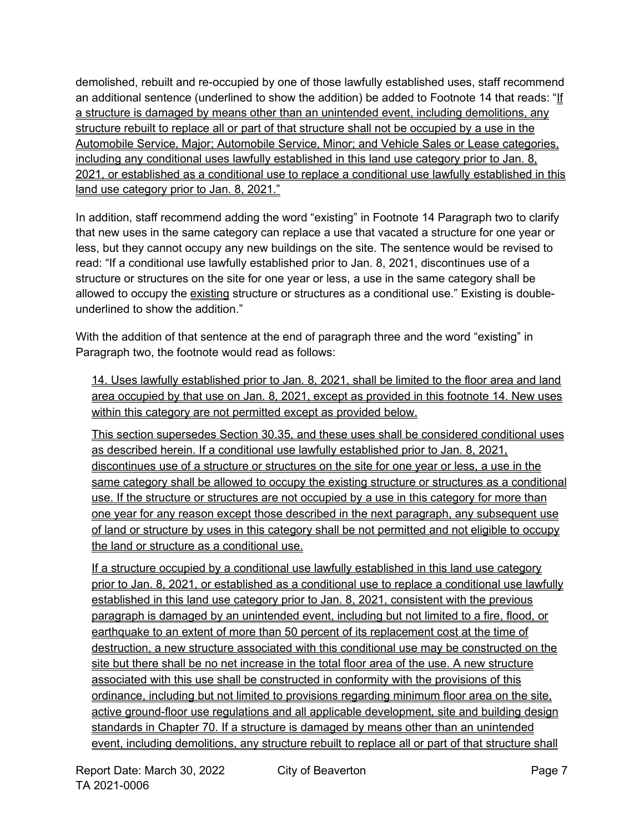demolished, rebuilt and re-occupied by one of those lawfully established uses, staff recommend an additional sentence (underlined to show the addition) be added to Footnote 14 that reads: "If a structure is damaged by means other than an unintended event, including demolitions, any structure rebuilt to replace all or part of that structure shall not be occupied by a use in the Automobile Service, Major; Automobile Service, Minor; and Vehicle Sales or Lease categories, including any conditional uses lawfully established in this land use category prior to Jan. 8, 2021, or established as a conditional use to replace a conditional use lawfully established in this land use category prior to Jan. 8, 2021."

In addition, staff recommend adding the word "existing" in Footnote 14 Paragraph two to clarify that new uses in the same category can replace a use that vacated a structure for one year or less, but they cannot occupy any new buildings on the site. The sentence would be revised to read: "If a conditional use lawfully established prior to Jan. 8, 2021, discontinues use of a structure or structures on the site for one year or less, a use in the same category shall be allowed to occupy the existing structure or structures as a conditional use." Existing is doubleunderlined to show the addition."

With the addition of that sentence at the end of paragraph three and the word "existing" in Paragraph two, the footnote would read as follows:

14. Uses lawfully established prior to Jan. 8, 2021, shall be limited to the floor area and land area occupied by that use on Jan. 8, 2021, except as provided in this footnote 14. New uses within this category are not permitted except as provided below.

This section supersedes Section 30.35, and these uses shall be considered conditional uses as described herein. If a conditional use lawfully established prior to Jan. 8, 2021, discontinues use of a structure or structures on the site for one year or less, a use in the same category shall be allowed to occupy the existing structure or structures as a conditional use. If the structure or structures are not occupied by a use in this category for more than one year for any reason except those described in the next paragraph, any subsequent use of land or structure by uses in this category shall be not permitted and not eligible to occupy the land or structure as a conditional use.

If a structure occupied by a conditional use lawfully established in this land use category prior to Jan. 8, 2021, or established as a conditional use to replace a conditional use lawfully established in this land use category prior to Jan. 8, 2021, consistent with the previous paragraph is damaged by an unintended event, including but not limited to a fire, flood, or earthquake to an extent of more than 50 percent of its replacement cost at the time of destruction, a new structure associated with this conditional use may be constructed on the site but there shall be no net increase in the total floor area of the use. A new structure associated with this use shall be constructed in conformity with the provisions of this ordinance, including but not limited to provisions regarding minimum floor area on the site, active ground-floor use regulations and all applicable development, site and building design standards in Chapter 70. If a structure is damaged by means other than an unintended event, including demolitions, any structure rebuilt to replace all or part of that structure shall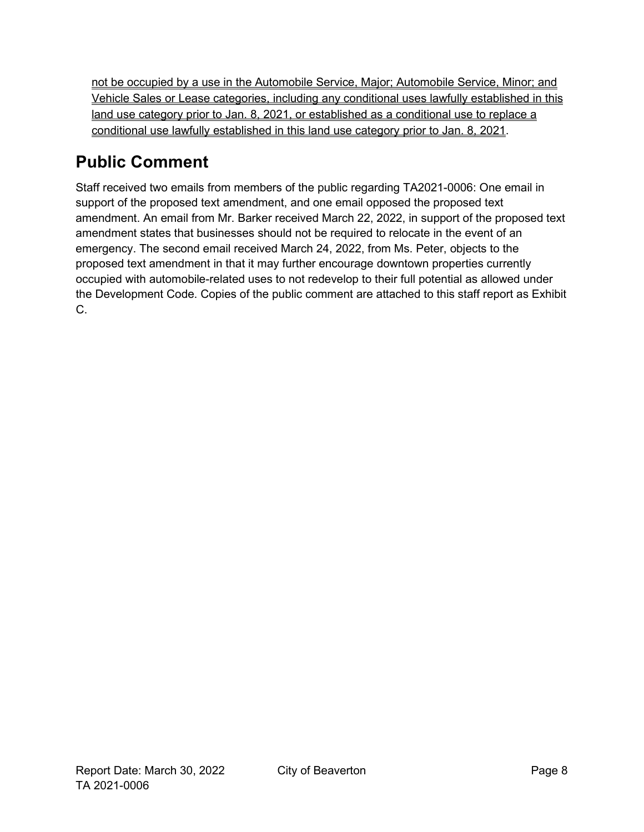not be occupied by a use in the Automobile Service, Major; Automobile Service, Minor; and Vehicle Sales or Lease categories, including any conditional uses lawfully established in this land use category prior to Jan. 8, 2021, or established as a conditional use to replace a conditional use lawfully established in this land use category prior to Jan. 8, 2021.

# <span id="page-7-0"></span>**Public Comment**

Staff received two emails from members of the public regarding TA2021-0006: One email in support of the proposed text amendment, and one email opposed the proposed text amendment. An email from Mr. Barker received March 22, 2022, in support of the proposed text amendment states that businesses should not be required to relocate in the event of an emergency. The second email received March 24, 2022, from Ms. Peter, objects to the proposed text amendment in that it may further encourage downtown properties currently occupied with automobile-related uses to not redevelop to their full potential as allowed under the Development Code. Copies of the public comment are attached to this staff report as Exhibit C.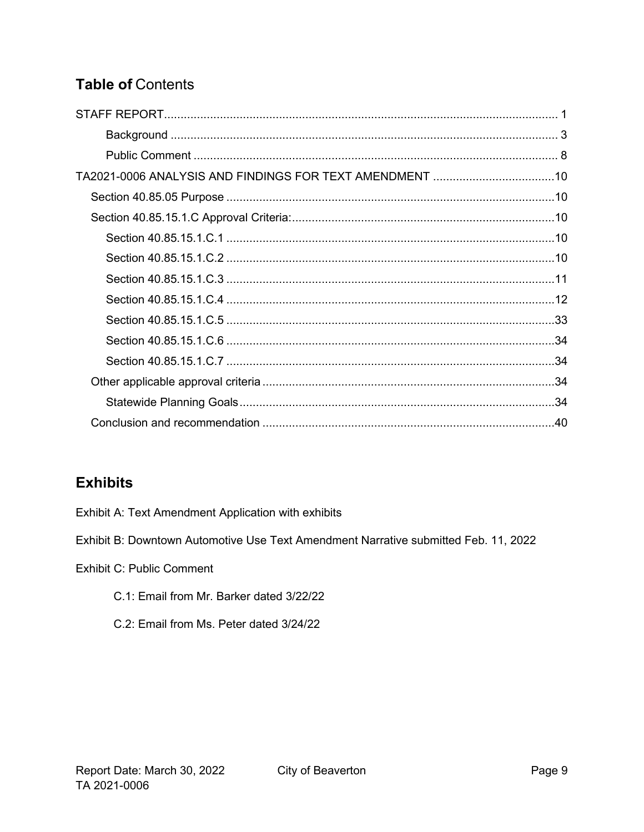## **Table of Contents**

## **Exhibits**

Exhibit A: Text Amendment Application with exhibits

Exhibit B: Downtown Automotive Use Text Amendment Narrative submitted Feb. 11, 2022

**Exhibit C: Public Comment** 

- C.1: Email from Mr. Barker dated 3/22/22
- C.2: Email from Ms. Peter dated 3/24/22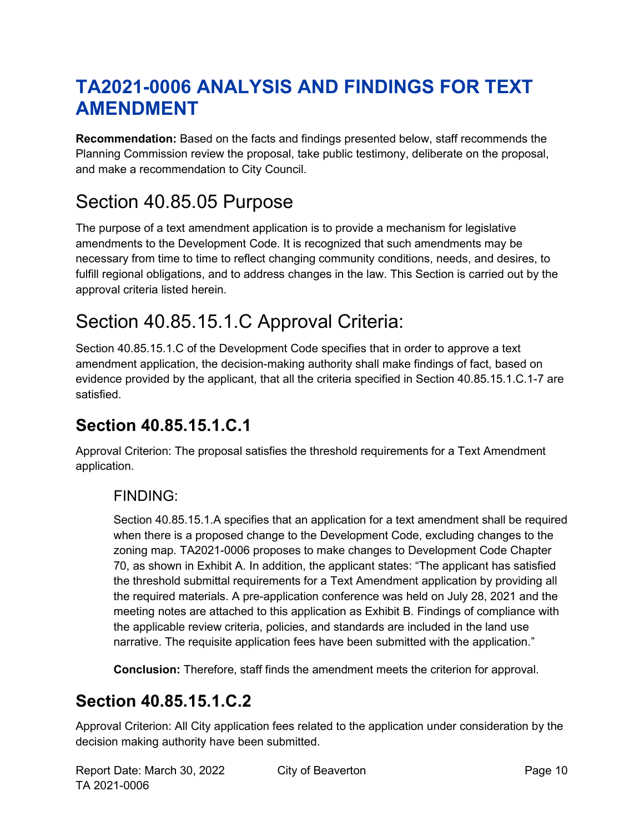# <span id="page-9-0"></span>**TA2021-0006 ANALYSIS AND FINDINGS FOR TEXT AMENDMENT**

**Recommendation:** Based on the facts and findings presented below, staff recommends the Planning Commission review the proposal, take public testimony, deliberate on the proposal, and make a recommendation to City Council.

# <span id="page-9-1"></span>Section 40.85.05 Purpose

The purpose of a text amendment application is to provide a mechanism for [legislative](http://online.encodeplus.com/regs/beaverton-or/doc-view.aspx?pn=0&ajax=0&secid=1081) amendments to the Development Code. It is recognized that such amendments may be necessary from time to time to reflect changing community conditions, needs, and desires, to fulfill regional obligations, and to address changes in the law. This Section is carried out by the approval criteria listed herein.

# <span id="page-9-2"></span>Section 40.85.15.1.C Approval Criteria:

Section 40.85.15.1.C of the Development Code specifies that in order to approve a text amendment application, the decision-making authority shall make findings of fact, based on evidence provided by the applicant, that all the criteria specified in Section 40.85.15.1.C.1-7 are satisfied.

## <span id="page-9-3"></span>**Section 40.85.15.1.C.1**

Approval Criterion: The proposal satisfies the threshold requirements for a Text Amendment application.

## FINDING:

Section 40.85.15.1.A specifies that an application for a text amendment shall be required when there is a proposed change to the Development Code, excluding changes to the zoning map. TA2021-0006 proposes to make changes to Development Code Chapter 70, as shown in Exhibit A. In addition, the applicant states: "The applicant has satisfied the threshold submittal requirements for a Text Amendment application by providing all the required materials. A pre-application conference was held on July 28, 2021 and the meeting notes are attached to this application as Exhibit B. Findings of compliance with the applicable review criteria, policies, and standards are included in the land use narrative. The requisite application fees have been submitted with the application."

**Conclusion:** Therefore, staff finds the amendment meets the criterion for approval.

## <span id="page-9-4"></span>**Section 40.85.15.1.C.2**

Approval Criterion: All City application fees related to the application under consideration by the decision making authority have been submitted.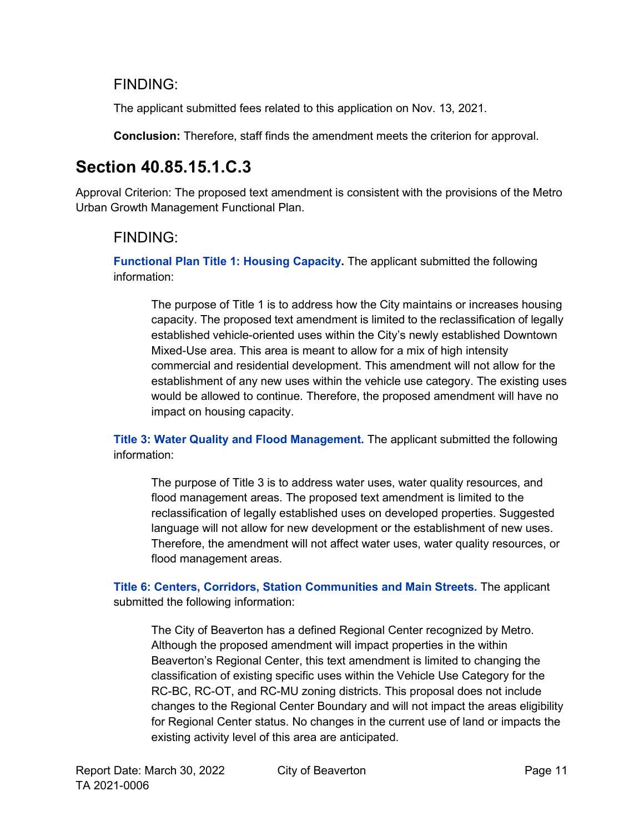### FINDING:

The applicant submitted fees related to this application on Nov. 13, 2021.

**Conclusion:** Therefore, staff finds the amendment meets the criterion for approval.

## <span id="page-10-0"></span>**Section 40.85.15.1.C.3**

Approval Criterion: The proposed text amendment is consistent with the provisions of the Metro Urban Growth Management Functional Plan.

## FINDING:

**Functional Plan Title 1: Housing Capacity.** The applicant submitted the following information:

The purpose of Title 1 is to address how the City maintains or increases housing capacity. The proposed text amendment is limited to the reclassification of legally established vehicle-oriented uses within the City's newly established Downtown Mixed-Use area. This area is meant to allow for a mix of high intensity commercial and residential development. This amendment will not allow for the establishment of any new uses within the vehicle use category. The existing uses would be allowed to continue. Therefore, the proposed amendment will have no impact on housing capacity.

**Title 3: Water Quality and Flood Management.** The applicant submitted the following information:

The purpose of Title 3 is to address water uses, water quality resources, and flood management areas. The proposed text amendment is limited to the reclassification of legally established uses on developed properties. Suggested language will not allow for new development or the establishment of new uses. Therefore, the amendment will not affect water uses, water quality resources, or flood management areas.

**Title 6: Centers, Corridors, Station Communities and Main Streets.** The applicant submitted the following information:

The City of Beaverton has a defined Regional Center recognized by Metro. Although the proposed amendment will impact properties in the within Beaverton's Regional Center, this text amendment is limited to changing the classification of existing specific uses within the Vehicle Use Category for the RC-BC, RC-OT, and RC-MU zoning districts. This proposal does not include changes to the Regional Center Boundary and will not impact the areas eligibility for Regional Center status. No changes in the current use of land or impacts the existing activity level of this area are anticipated.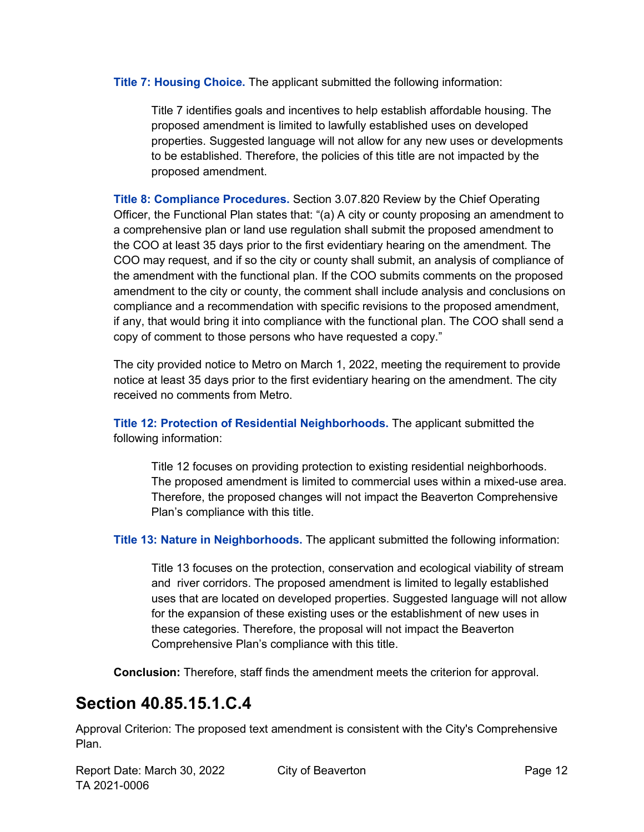**Title 7: Housing Choice.** The applicant submitted the following information:

Title 7 identifies goals and incentives to help establish affordable housing. The proposed amendment is limited to lawfully established uses on developed properties. Suggested language will not allow for any new uses or developments to be established. Therefore, the policies of this title are not impacted by the proposed amendment.

**Title 8: Compliance Procedures.** Section 3.07.820 Review by the Chief Operating Officer, the Functional Plan states that: "(a) A city or county proposing an amendment to a comprehensive plan or land use regulation shall submit the proposed amendment to the COO at least 35 days prior to the first evidentiary hearing on the amendment. The COO may request, and if so the city or county shall submit, an analysis of compliance of the amendment with the functional plan. If the COO submits comments on the proposed amendment to the city or county, the comment shall include analysis and conclusions on compliance and a recommendation with specific revisions to the proposed amendment, if any, that would bring it into compliance with the functional plan. The COO shall send a copy of comment to those persons who have requested a copy."

The city provided notice to Metro on March 1, 2022, meeting the requirement to provide notice at least 35 days prior to the first evidentiary hearing on the amendment. The city received no comments from Metro.

**Title 12: Protection of Residential Neighborhoods.** The applicant submitted the following information:

Title 12 focuses on providing protection to existing residential neighborhoods. The proposed amendment is limited to commercial uses within a mixed-use area. Therefore, the proposed changes will not impact the Beaverton Comprehensive Plan's compliance with this title.

**Title 13: Nature in Neighborhoods.** The applicant submitted the following information:

Title 13 focuses on the protection, conservation and ecological viability of stream and river corridors. The proposed amendment is limited to legally established uses that are located on developed properties. Suggested language will not allow for the expansion of these existing uses or the establishment of new uses in these categories. Therefore, the proposal will not impact the Beaverton Comprehensive Plan's compliance with this title.

**Conclusion:** Therefore, staff finds the amendment meets the criterion for approval.

## <span id="page-11-0"></span>**Section 40.85.15.1.C.4**

Approval Criterion: The proposed text amendment is consistent with the City's Comprehensive Plan.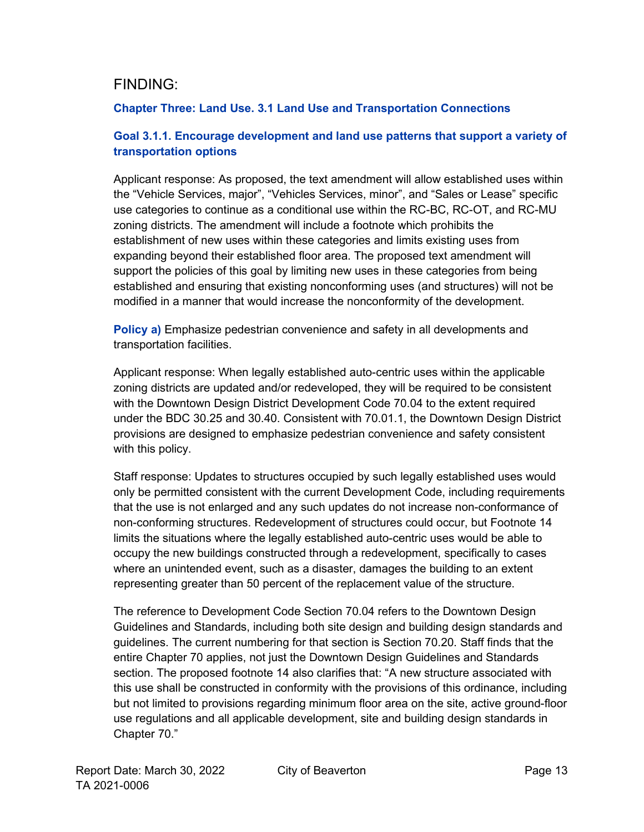### FINDING:

#### **Chapter Three: Land Use. 3.1 Land Use and Transportation Connections**

#### **Goal 3.1.1. Encourage development and land use patterns that support a variety of transportation options**

Applicant response: As proposed, the text amendment will allow established uses within the "Vehicle Services, major", "Vehicles Services, minor", and "Sales or Lease" specific use categories to continue as a conditional use within the RC-BC, RC-OT, and RC-MU zoning districts. The amendment will include a footnote which prohibits the establishment of new uses within these categories and limits existing uses from expanding beyond their established floor area. The proposed text amendment will support the policies of this goal by limiting new uses in these categories from being established and ensuring that existing nonconforming uses (and structures) will not be modified in a manner that would increase the nonconformity of the development.

**Policy a)** Emphasize pedestrian convenience and safety in all developments and transportation facilities.

Applicant response: When legally established auto-centric uses within the applicable zoning districts are updated and/or redeveloped, they will be required to be consistent with the Downtown Design District Development Code 70.04 to the extent required under the BDC 30.25 and 30.40. Consistent with 70.01.1, the Downtown Design District provisions are designed to emphasize pedestrian convenience and safety consistent with this policy.

Staff response: Updates to structures occupied by such legally established uses would only be permitted consistent with the current Development Code, including requirements that the use is not enlarged and any such updates do not increase non-conformance of non-conforming structures. Redevelopment of structures could occur, but Footnote 14 limits the situations where the legally established auto-centric uses would be able to occupy the new buildings constructed through a redevelopment, specifically to cases where an unintended event, such as a disaster, damages the building to an extent representing greater than 50 percent of the replacement value of the structure.

The reference to Development Code Section 70.04 refers to the Downtown Design Guidelines and Standards, including both site design and building design standards and guidelines. The current numbering for that section is Section 70.20. Staff finds that the entire Chapter 70 applies, not just the Downtown Design Guidelines and Standards section. The proposed footnote 14 also clarifies that: "A new structure associated with this use shall be constructed in conformity with the provisions of this ordinance, including but not limited to provisions regarding minimum floor area on the site, active ground-floor use regulations and all applicable development, site and building design standards in Chapter 70."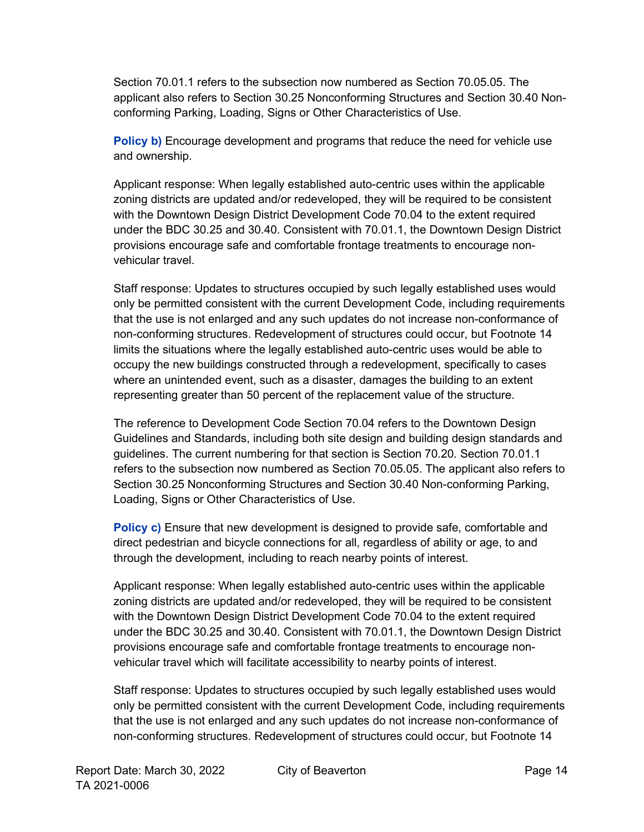Section 70.01.1 refers to the subsection now numbered as Section 70.05.05. The applicant also refers to Section 30.25 Nonconforming Structures and Section 30.40 Nonconforming Parking, Loading, Signs or Other Characteristics of Use.

**Policy b)** Encourage development and programs that reduce the need for vehicle use and ownership.

Applicant response: When legally established auto-centric uses within the applicable zoning districts are updated and/or redeveloped, they will be required to be consistent with the Downtown Design District Development Code 70.04 to the extent required under the BDC 30.25 and 30.40. Consistent with 70.01.1, the Downtown Design District provisions encourage safe and comfortable frontage treatments to encourage nonvehicular travel.

Staff response: Updates to structures occupied by such legally established uses would only be permitted consistent with the current Development Code, including requirements that the use is not enlarged and any such updates do not increase non-conformance of non-conforming structures. Redevelopment of structures could occur, but Footnote 14 limits the situations where the legally established auto-centric uses would be able to occupy the new buildings constructed through a redevelopment, specifically to cases where an unintended event, such as a disaster, damages the building to an extent representing greater than 50 percent of the replacement value of the structure.

The reference to Development Code Section 70.04 refers to the Downtown Design Guidelines and Standards, including both site design and building design standards and guidelines. The current numbering for that section is Section 70.20. Section 70.01.1 refers to the subsection now numbered as Section 70.05.05. The applicant also refers to Section 30.25 Nonconforming Structures and Section 30.40 Non-conforming Parking, Loading, Signs or Other Characteristics of Use.

**Policy c)** Ensure that new development is designed to provide safe, comfortable and direct pedestrian and bicycle connections for all, regardless of ability or age, to and through the development, including to reach nearby points of interest.

Applicant response: When legally established auto-centric uses within the applicable zoning districts are updated and/or redeveloped, they will be required to be consistent with the Downtown Design District Development Code 70.04 to the extent required under the BDC 30.25 and 30.40. Consistent with 70.01.1, the Downtown Design District provisions encourage safe and comfortable frontage treatments to encourage nonvehicular travel which will facilitate accessibility to nearby points of interest.

Staff response: Updates to structures occupied by such legally established uses would only be permitted consistent with the current Development Code, including requirements that the use is not enlarged and any such updates do not increase non-conformance of non-conforming structures. Redevelopment of structures could occur, but Footnote 14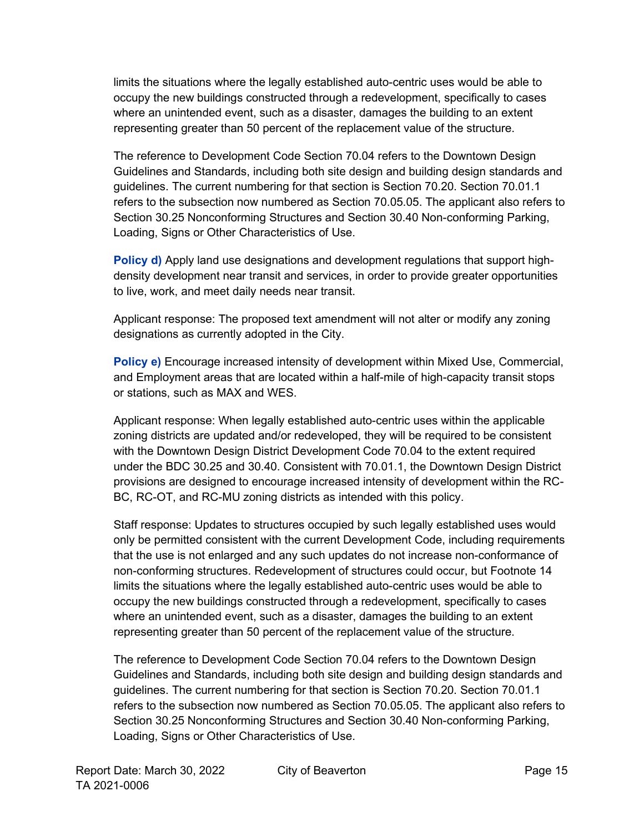limits the situations where the legally established auto-centric uses would be able to occupy the new buildings constructed through a redevelopment, specifically to cases where an unintended event, such as a disaster, damages the building to an extent representing greater than 50 percent of the replacement value of the structure.

The reference to Development Code Section 70.04 refers to the Downtown Design Guidelines and Standards, including both site design and building design standards and guidelines. The current numbering for that section is Section 70.20. Section 70.01.1 refers to the subsection now numbered as Section 70.05.05. The applicant also refers to Section 30.25 Nonconforming Structures and Section 30.40 Non-conforming Parking, Loading, Signs or Other Characteristics of Use.

**Policy d)** Apply land use designations and development regulations that support highdensity development near transit and services, in order to provide greater opportunities to live, work, and meet daily needs near transit.

Applicant response: The proposed text amendment will not alter or modify any zoning designations as currently adopted in the City.

**Policy e)** Encourage increased intensity of development within Mixed Use, Commercial, and Employment areas that are located within a half-mile of high-capacity transit stops or stations, such as MAX and WES.

Applicant response: When legally established auto-centric uses within the applicable zoning districts are updated and/or redeveloped, they will be required to be consistent with the Downtown Design District Development Code 70.04 to the extent required under the BDC 30.25 and 30.40. Consistent with 70.01.1, the Downtown Design District provisions are designed to encourage increased intensity of development within the RC-BC, RC-OT, and RC-MU zoning districts as intended with this policy.

Staff response: Updates to structures occupied by such legally established uses would only be permitted consistent with the current Development Code, including requirements that the use is not enlarged and any such updates do not increase non-conformance of non-conforming structures. Redevelopment of structures could occur, but Footnote 14 limits the situations where the legally established auto-centric uses would be able to occupy the new buildings constructed through a redevelopment, specifically to cases where an unintended event, such as a disaster, damages the building to an extent representing greater than 50 percent of the replacement value of the structure.

The reference to Development Code Section 70.04 refers to the Downtown Design Guidelines and Standards, including both site design and building design standards and guidelines. The current numbering for that section is Section 70.20. Section 70.01.1 refers to the subsection now numbered as Section 70.05.05. The applicant also refers to Section 30.25 Nonconforming Structures and Section 30.40 Non-conforming Parking, Loading, Signs or Other Characteristics of Use.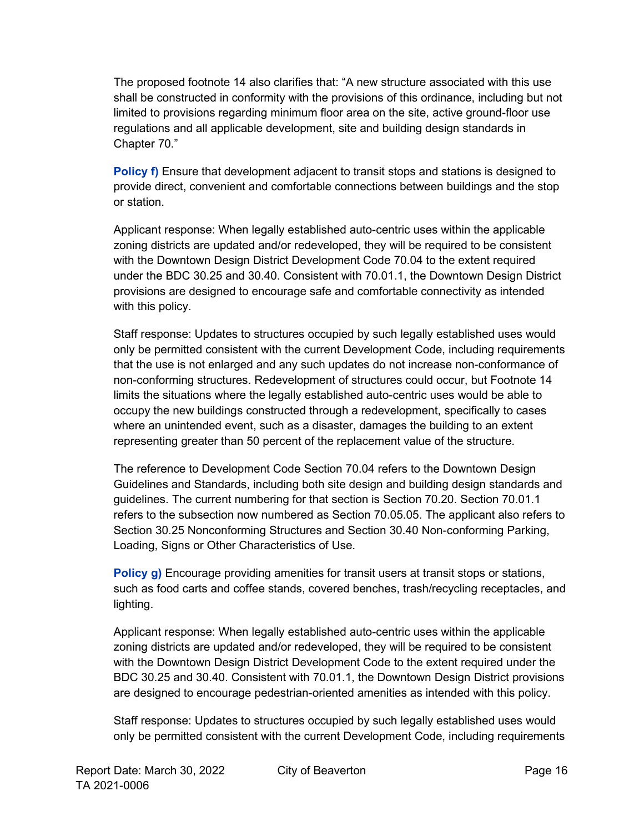The proposed footnote 14 also clarifies that: "A new structure associated with this use shall be constructed in conformity with the provisions of this ordinance, including but not limited to provisions regarding minimum floor area on the site, active ground-floor use regulations and all applicable development, site and building design standards in Chapter 70."

**Policy f)** Ensure that development adjacent to transit stops and stations is designed to provide direct, convenient and comfortable connections between buildings and the stop or station.

Applicant response: When legally established auto-centric uses within the applicable zoning districts are updated and/or redeveloped, they will be required to be consistent with the Downtown Design District Development Code 70.04 to the extent required under the BDC 30.25 and 30.40. Consistent with 70.01.1, the Downtown Design District provisions are designed to encourage safe and comfortable connectivity as intended with this policy.

Staff response: Updates to structures occupied by such legally established uses would only be permitted consistent with the current Development Code, including requirements that the use is not enlarged and any such updates do not increase non-conformance of non-conforming structures. Redevelopment of structures could occur, but Footnote 14 limits the situations where the legally established auto-centric uses would be able to occupy the new buildings constructed through a redevelopment, specifically to cases where an unintended event, such as a disaster, damages the building to an extent representing greater than 50 percent of the replacement value of the structure.

The reference to Development Code Section 70.04 refers to the Downtown Design Guidelines and Standards, including both site design and building design standards and guidelines. The current numbering for that section is Section 70.20. Section 70.01.1 refers to the subsection now numbered as Section 70.05.05. The applicant also refers to Section 30.25 Nonconforming Structures and Section 30.40 Non-conforming Parking, Loading, Signs or Other Characteristics of Use.

**Policy g)** Encourage providing amenities for transit users at transit stops or stations, such as food carts and coffee stands, covered benches, trash/recycling receptacles, and lighting.

Applicant response: When legally established auto-centric uses within the applicable zoning districts are updated and/or redeveloped, they will be required to be consistent with the Downtown Design District Development Code to the extent required under the BDC 30.25 and 30.40. Consistent with 70.01.1, the Downtown Design District provisions are designed to encourage pedestrian-oriented amenities as intended with this policy.

Staff response: Updates to structures occupied by such legally established uses would only be permitted consistent with the current Development Code, including requirements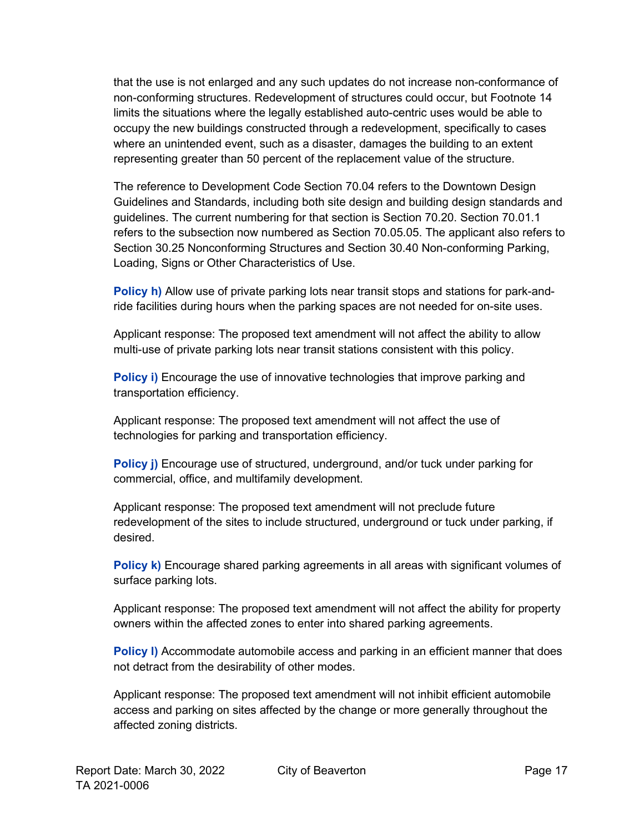that the use is not enlarged and any such updates do not increase non-conformance of non-conforming structures. Redevelopment of structures could occur, but Footnote 14 limits the situations where the legally established auto-centric uses would be able to occupy the new buildings constructed through a redevelopment, specifically to cases where an unintended event, such as a disaster, damages the building to an extent representing greater than 50 percent of the replacement value of the structure.

The reference to Development Code Section 70.04 refers to the Downtown Design Guidelines and Standards, including both site design and building design standards and guidelines. The current numbering for that section is Section 70.20. Section 70.01.1 refers to the subsection now numbered as Section 70.05.05. The applicant also refers to Section 30.25 Nonconforming Structures and Section 30.40 Non-conforming Parking, Loading, Signs or Other Characteristics of Use.

**Policy h)** Allow use of private parking lots near transit stops and stations for park-andride facilities during hours when the parking spaces are not needed for on-site uses.

Applicant response: The proposed text amendment will not affect the ability to allow multi-use of private parking lots near transit stations consistent with this policy.

**Policy i)** Encourage the use of innovative technologies that improve parking and transportation efficiency.

Applicant response: The proposed text amendment will not affect the use of technologies for parking and transportation efficiency.

**Policy j)** Encourage use of structured, underground, and/or tuck under parking for commercial, office, and multifamily development.

Applicant response: The proposed text amendment will not preclude future redevelopment of the sites to include structured, underground or tuck under parking, if desired.

**Policy k)** Encourage shared parking agreements in all areas with significant volumes of surface parking lots.

Applicant response: The proposed text amendment will not affect the ability for property owners within the affected zones to enter into shared parking agreements.

**Policy I)** Accommodate automobile access and parking in an efficient manner that does not detract from the desirability of other modes.

Applicant response: The proposed text amendment will not inhibit efficient automobile access and parking on sites affected by the change or more generally throughout the affected zoning districts.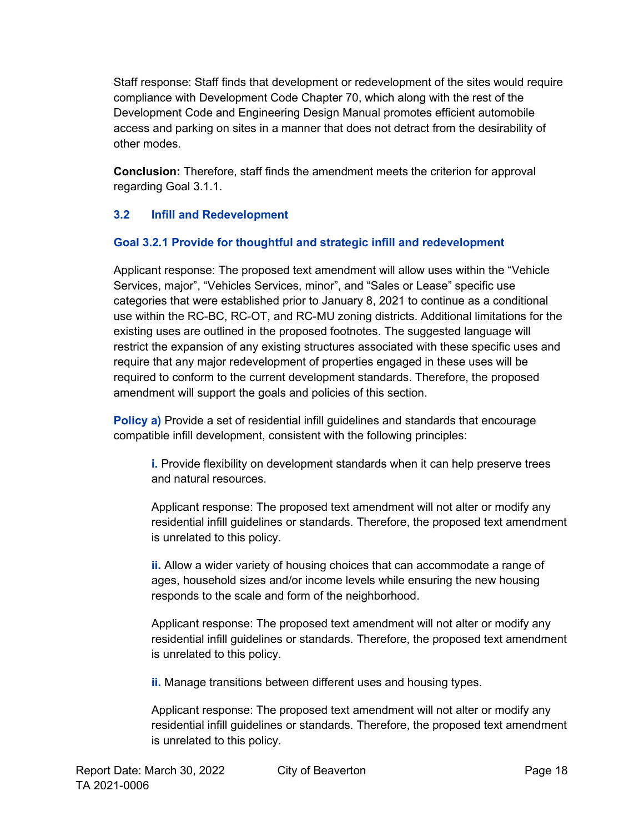Staff response: Staff finds that development or redevelopment of the sites would require compliance with Development Code Chapter 70, which along with the rest of the Development Code and Engineering Design Manual promotes efficient automobile access and parking on sites in a manner that does not detract from the desirability of other modes.

**Conclusion:** Therefore, staff finds the amendment meets the criterion for approval regarding Goal 3.1.1.

#### **3.2 Infill and Redevelopment**

#### **Goal 3.2.1 Provide for thoughtful and strategic infill and redevelopment**

Applicant response: The proposed text amendment will allow uses within the "Vehicle Services, major", "Vehicles Services, minor", and "Sales or Lease" specific use categories that were established prior to January 8, 2021 to continue as a conditional use within the RC-BC, RC-OT, and RC-MU zoning districts. Additional limitations for the existing uses are outlined in the proposed footnotes. The suggested language will restrict the expansion of any existing structures associated with these specific uses and require that any major redevelopment of properties engaged in these uses will be required to conform to the current development standards. Therefore, the proposed amendment will support the goals and policies of this section.

**Policy a)** Provide a set of residential infill guidelines and standards that encourage compatible infill development, consistent with the following principles:

**i.** Provide flexibility on development standards when it can help preserve trees and natural resources.

Applicant response: The proposed text amendment will not alter or modify any residential infill guidelines or standards. Therefore, the proposed text amendment is unrelated to this policy.

**ii.** Allow a wider variety of housing choices that can accommodate a range of ages, household sizes and/or income levels while ensuring the new housing responds to the scale and form of the neighborhood.

Applicant response: The proposed text amendment will not alter or modify any residential infill guidelines or standards. Therefore, the proposed text amendment is unrelated to this policy.

**ii.** Manage transitions between different uses and housing types.

Applicant response: The proposed text amendment will not alter or modify any residential infill guidelines or standards. Therefore, the proposed text amendment is unrelated to this policy.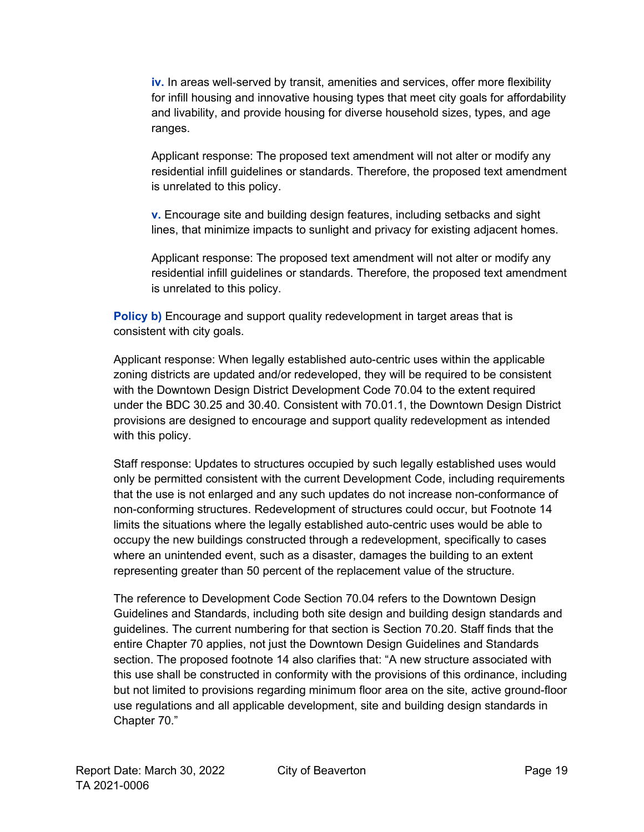**iv.** In areas well-served by transit, amenities and services, offer more flexibility for infill housing and innovative housing types that meet city goals for affordability and livability, and provide housing for diverse household sizes, types, and age ranges.

Applicant response: The proposed text amendment will not alter or modify any residential infill guidelines or standards. Therefore, the proposed text amendment is unrelated to this policy.

**v.** Encourage site and building design features, including setbacks and sight lines, that minimize impacts to sunlight and privacy for existing adjacent homes.

Applicant response: The proposed text amendment will not alter or modify any residential infill guidelines or standards. Therefore, the proposed text amendment is unrelated to this policy.

**Policy b)** Encourage and support quality redevelopment in target areas that is consistent with city goals.

Applicant response: When legally established auto-centric uses within the applicable zoning districts are updated and/or redeveloped, they will be required to be consistent with the Downtown Design District Development Code 70.04 to the extent required under the BDC 30.25 and 30.40. Consistent with 70.01.1, the Downtown Design District provisions are designed to encourage and support quality redevelopment as intended with this policy.

Staff response: Updates to structures occupied by such legally established uses would only be permitted consistent with the current Development Code, including requirements that the use is not enlarged and any such updates do not increase non-conformance of non-conforming structures. Redevelopment of structures could occur, but Footnote 14 limits the situations where the legally established auto-centric uses would be able to occupy the new buildings constructed through a redevelopment, specifically to cases where an unintended event, such as a disaster, damages the building to an extent representing greater than 50 percent of the replacement value of the structure.

The reference to Development Code Section 70.04 refers to the Downtown Design Guidelines and Standards, including both site design and building design standards and guidelines. The current numbering for that section is Section 70.20. Staff finds that the entire Chapter 70 applies, not just the Downtown Design Guidelines and Standards section. The proposed footnote 14 also clarifies that: "A new structure associated with this use shall be constructed in conformity with the provisions of this ordinance, including but not limited to provisions regarding minimum floor area on the site, active ground-floor use regulations and all applicable development, site and building design standards in Chapter 70."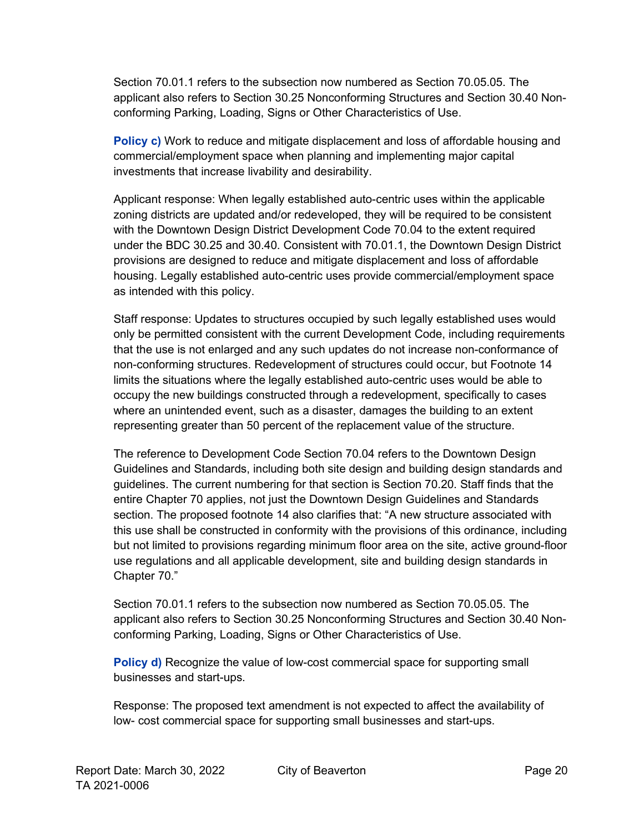Section 70.01.1 refers to the subsection now numbered as Section 70.05.05. The applicant also refers to Section 30.25 Nonconforming Structures and Section 30.40 Nonconforming Parking, Loading, Signs or Other Characteristics of Use.

**Policy c)** Work to reduce and mitigate displacement and loss of affordable housing and commercial/employment space when planning and implementing major capital investments that increase livability and desirability.

Applicant response: When legally established auto-centric uses within the applicable zoning districts are updated and/or redeveloped, they will be required to be consistent with the Downtown Design District Development Code 70.04 to the extent required under the BDC 30.25 and 30.40. Consistent with 70.01.1, the Downtown Design District provisions are designed to reduce and mitigate displacement and loss of affordable housing. Legally established auto-centric uses provide commercial/employment space as intended with this policy.

Staff response: Updates to structures occupied by such legally established uses would only be permitted consistent with the current Development Code, including requirements that the use is not enlarged and any such updates do not increase non-conformance of non-conforming structures. Redevelopment of structures could occur, but Footnote 14 limits the situations where the legally established auto-centric uses would be able to occupy the new buildings constructed through a redevelopment, specifically to cases where an unintended event, such as a disaster, damages the building to an extent representing greater than 50 percent of the replacement value of the structure.

The reference to Development Code Section 70.04 refers to the Downtown Design Guidelines and Standards, including both site design and building design standards and guidelines. The current numbering for that section is Section 70.20. Staff finds that the entire Chapter 70 applies, not just the Downtown Design Guidelines and Standards section. The proposed footnote 14 also clarifies that: "A new structure associated with this use shall be constructed in conformity with the provisions of this ordinance, including but not limited to provisions regarding minimum floor area on the site, active ground-floor use regulations and all applicable development, site and building design standards in Chapter 70."

Section 70.01.1 refers to the subsection now numbered as Section 70.05.05. The applicant also refers to Section 30.25 Nonconforming Structures and Section 30.40 Nonconforming Parking, Loading, Signs or Other Characteristics of Use.

**Policy d)** Recognize the value of low-cost commercial space for supporting small businesses and start-ups.

Response: The proposed text amendment is not expected to affect the availability of low- cost commercial space for supporting small businesses and start-ups.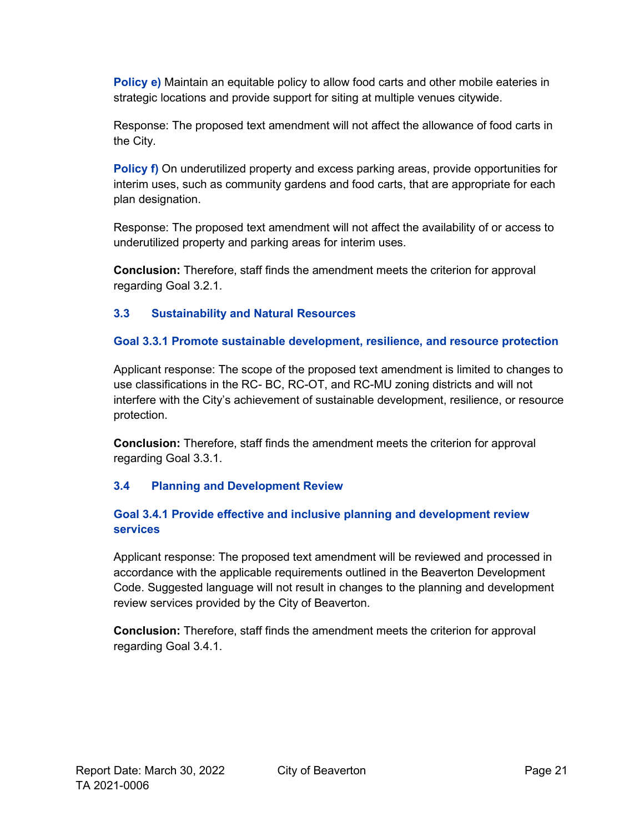**Policy e)** Maintain an equitable policy to allow food carts and other mobile eateries in strategic locations and provide support for siting at multiple venues citywide.

Response: The proposed text amendment will not affect the allowance of food carts in the City.

**Policy f)** On underutilized property and excess parking areas, provide opportunities for interim uses, such as community gardens and food carts, that are appropriate for each plan designation.

Response: The proposed text amendment will not affect the availability of or access to underutilized property and parking areas for interim uses.

**Conclusion:** Therefore, staff finds the amendment meets the criterion for approval regarding Goal 3.2.1.

#### **3.3 Sustainability and Natural Resources**

#### **Goal 3.3.1 Promote sustainable development, resilience, and resource protection**

Applicant response: The scope of the proposed text amendment is limited to changes to use classifications in the RC- BC, RC-OT, and RC-MU zoning districts and will not interfere with the City's achievement of sustainable development, resilience, or resource protection.

**Conclusion:** Therefore, staff finds the amendment meets the criterion for approval regarding Goal 3.3.1.

#### **3.4 Planning and Development Review**

#### **Goal 3.4.1 Provide effective and inclusive planning and development review services**

Applicant response: The proposed text amendment will be reviewed and processed in accordance with the applicable requirements outlined in the Beaverton Development Code. Suggested language will not result in changes to the planning and development review services provided by the City of Beaverton.

**Conclusion:** Therefore, staff finds the amendment meets the criterion for approval regarding Goal 3.4.1.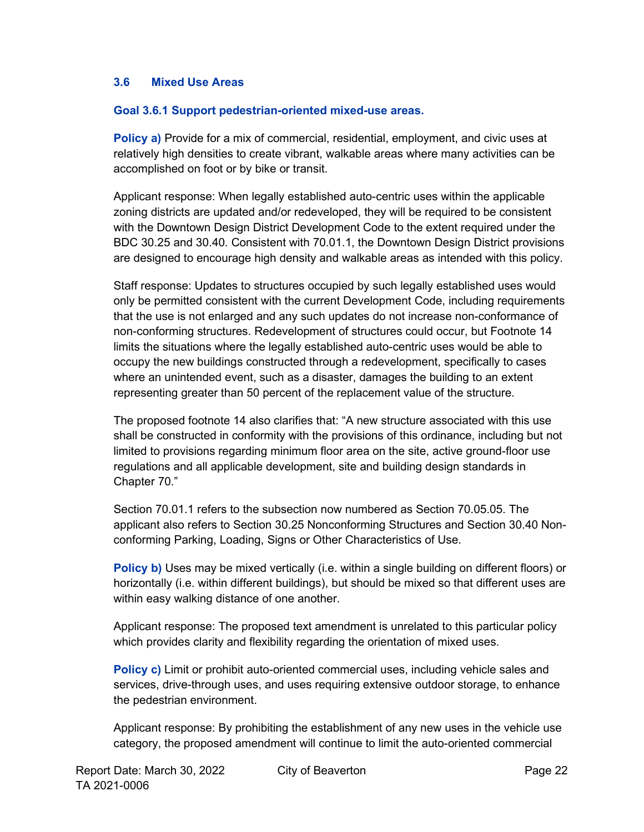#### **3.6 Mixed Use Areas**

#### **Goal 3.6.1 Support pedestrian-oriented mixed-use areas.**

**Policy a)** Provide for a mix of commercial, residential, employment, and civic uses at relatively high densities to create vibrant, walkable areas where many activities can be accomplished on foot or by bike or transit.

Applicant response: When legally established auto-centric uses within the applicable zoning districts are updated and/or redeveloped, they will be required to be consistent with the Downtown Design District Development Code to the extent required under the BDC 30.25 and 30.40. Consistent with 70.01.1, the Downtown Design District provisions are designed to encourage high density and walkable areas as intended with this policy.

Staff response: Updates to structures occupied by such legally established uses would only be permitted consistent with the current Development Code, including requirements that the use is not enlarged and any such updates do not increase non-conformance of non-conforming structures. Redevelopment of structures could occur, but Footnote 14 limits the situations where the legally established auto-centric uses would be able to occupy the new buildings constructed through a redevelopment, specifically to cases where an unintended event, such as a disaster, damages the building to an extent representing greater than 50 percent of the replacement value of the structure.

The proposed footnote 14 also clarifies that: "A new structure associated with this use shall be constructed in conformity with the provisions of this ordinance, including but not limited to provisions regarding minimum floor area on the site, active ground-floor use regulations and all applicable development, site and building design standards in Chapter 70."

Section 70.01.1 refers to the subsection now numbered as Section 70.05.05. The applicant also refers to Section 30.25 Nonconforming Structures and Section 30.40 Nonconforming Parking, Loading, Signs or Other Characteristics of Use.

**Policy b)** Uses may be mixed vertically (i.e. within a single building on different floors) or horizontally (i.e. within different buildings), but should be mixed so that different uses are within easy walking distance of one another.

Applicant response: The proposed text amendment is unrelated to this particular policy which provides clarity and flexibility regarding the orientation of mixed uses.

**Policy c)** Limit or prohibit auto-oriented commercial uses, including vehicle sales and services, drive-through uses, and uses requiring extensive outdoor storage, to enhance the pedestrian environment.

Applicant response: By prohibiting the establishment of any new uses in the vehicle use category, the proposed amendment will continue to limit the auto-oriented commercial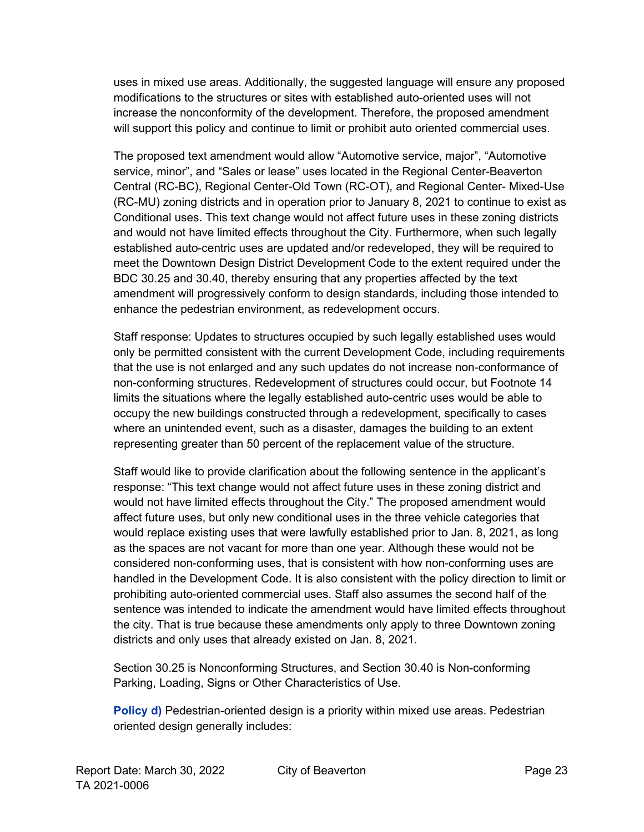uses in mixed use areas. Additionally, the suggested language will ensure any proposed modifications to the structures or sites with established auto-oriented uses will not increase the nonconformity of the development. Therefore, the proposed amendment will support this policy and continue to limit or prohibit auto oriented commercial uses.

The proposed text amendment would allow "Automotive service, major", "Automotive service, minor", and "Sales or lease" uses located in the Regional Center-Beaverton Central (RC-BC), Regional Center-Old Town (RC-OT), and Regional Center- Mixed-Use (RC-MU) zoning districts and in operation prior to January 8, 2021 to continue to exist as Conditional uses. This text change would not affect future uses in these zoning districts and would not have limited effects throughout the City. Furthermore, when such legally established auto-centric uses are updated and/or redeveloped, they will be required to meet the Downtown Design District Development Code to the extent required under the BDC 30.25 and 30.40, thereby ensuring that any properties affected by the text amendment will progressively conform to design standards, including those intended to enhance the pedestrian environment, as redevelopment occurs.

Staff response: Updates to structures occupied by such legally established uses would only be permitted consistent with the current Development Code, including requirements that the use is not enlarged and any such updates do not increase non-conformance of non-conforming structures. Redevelopment of structures could occur, but Footnote 14 limits the situations where the legally established auto-centric uses would be able to occupy the new buildings constructed through a redevelopment, specifically to cases where an unintended event, such as a disaster, damages the building to an extent representing greater than 50 percent of the replacement value of the structure.

Staff would like to provide clarification about the following sentence in the applicant's response: "This text change would not affect future uses in these zoning district and would not have limited effects throughout the City." The proposed amendment would affect future uses, but only new conditional uses in the three vehicle categories that would replace existing uses that were lawfully established prior to Jan. 8, 2021, as long as the spaces are not vacant for more than one year. Although these would not be considered non-conforming uses, that is consistent with how non-conforming uses are handled in the Development Code. It is also consistent with the policy direction to limit or prohibiting auto-oriented commercial uses. Staff also assumes the second half of the sentence was intended to indicate the amendment would have limited effects throughout the city. That is true because these amendments only apply to three Downtown zoning districts and only uses that already existed on Jan. 8, 2021.

Section 30.25 is Nonconforming Structures, and Section 30.40 is Non-conforming Parking, Loading, Signs or Other Characteristics of Use.

**Policy d)** Pedestrian-oriented design is a priority within mixed use areas. Pedestrian oriented design generally includes: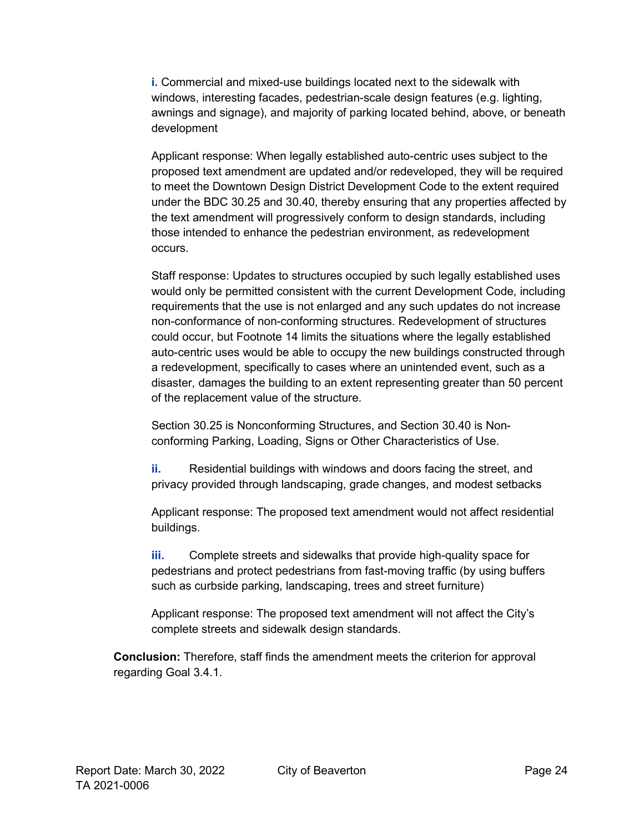**i.** Commercial and mixed-use buildings located next to the sidewalk with windows, interesting facades, pedestrian-scale design features (e.g. lighting, awnings and signage), and majority of parking located behind, above, or beneath development

Applicant response: When legally established auto-centric uses subject to the proposed text amendment are updated and/or redeveloped, they will be required to meet the Downtown Design District Development Code to the extent required under the BDC 30.25 and 30.40, thereby ensuring that any properties affected by the text amendment will progressively conform to design standards, including those intended to enhance the pedestrian environment, as redevelopment occurs.

Staff response: Updates to structures occupied by such legally established uses would only be permitted consistent with the current Development Code, including requirements that the use is not enlarged and any such updates do not increase non-conformance of non-conforming structures. Redevelopment of structures could occur, but Footnote 14 limits the situations where the legally established auto-centric uses would be able to occupy the new buildings constructed through a redevelopment, specifically to cases where an unintended event, such as a disaster, damages the building to an extent representing greater than 50 percent of the replacement value of the structure.

Section 30.25 is Nonconforming Structures, and Section 30.40 is Nonconforming Parking, Loading, Signs or Other Characteristics of Use.

**ii.** Residential buildings with windows and doors facing the street, and privacy provided through landscaping, grade changes, and modest setbacks

Applicant response: The proposed text amendment would not affect residential buildings.

**iii.** Complete streets and sidewalks that provide high-quality space for pedestrians and protect pedestrians from fast-moving traffic (by using buffers such as curbside parking, landscaping, trees and street furniture)

Applicant response: The proposed text amendment will not affect the City's complete streets and sidewalk design standards.

**Conclusion:** Therefore, staff finds the amendment meets the criterion for approval regarding Goal 3.4.1.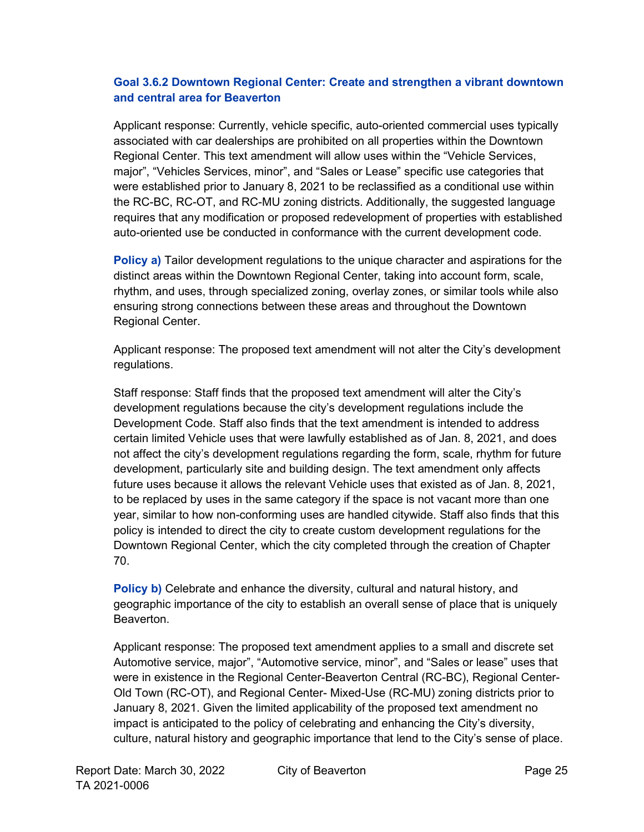#### **Goal 3.6.2 Downtown Regional Center: Create and strengthen a vibrant downtown and central area for Beaverton**

Applicant response: Currently, vehicle specific, auto-oriented commercial uses typically associated with car dealerships are prohibited on all properties within the Downtown Regional Center. This text amendment will allow uses within the "Vehicle Services, major", "Vehicles Services, minor", and "Sales or Lease" specific use categories that were established prior to January 8, 2021 to be reclassified as a conditional use within the RC-BC, RC-OT, and RC-MU zoning districts. Additionally, the suggested language requires that any modification or proposed redevelopment of properties with established auto-oriented use be conducted in conformance with the current development code.

**Policy a)** Tailor development regulations to the unique character and aspirations for the distinct areas within the Downtown Regional Center, taking into account form, scale, rhythm, and uses, through specialized zoning, overlay zones, or similar tools while also ensuring strong connections between these areas and throughout the Downtown Regional Center.

Applicant response: The proposed text amendment will not alter the City's development regulations.

Staff response: Staff finds that the proposed text amendment will alter the City's development regulations because the city's development regulations include the Development Code. Staff also finds that the text amendment is intended to address certain limited Vehicle uses that were lawfully established as of Jan. 8, 2021, and does not affect the city's development regulations regarding the form, scale, rhythm for future development, particularly site and building design. The text amendment only affects future uses because it allows the relevant Vehicle uses that existed as of Jan. 8, 2021, to be replaced by uses in the same category if the space is not vacant more than one year, similar to how non-conforming uses are handled citywide. Staff also finds that this policy is intended to direct the city to create custom development regulations for the Downtown Regional Center, which the city completed through the creation of Chapter 70.

**Policy b)** Celebrate and enhance the diversity, cultural and natural history, and geographic importance of the city to establish an overall sense of place that is uniquely Beaverton.

Applicant response: The proposed text amendment applies to a small and discrete set Automotive service, major", "Automotive service, minor", and "Sales or lease" uses that were in existence in the Regional Center-Beaverton Central (RC-BC), Regional Center-Old Town (RC-OT), and Regional Center- Mixed-Use (RC-MU) zoning districts prior to January 8, 2021. Given the limited applicability of the proposed text amendment no impact is anticipated to the policy of celebrating and enhancing the City's diversity, culture, natural history and geographic importance that lend to the City's sense of place.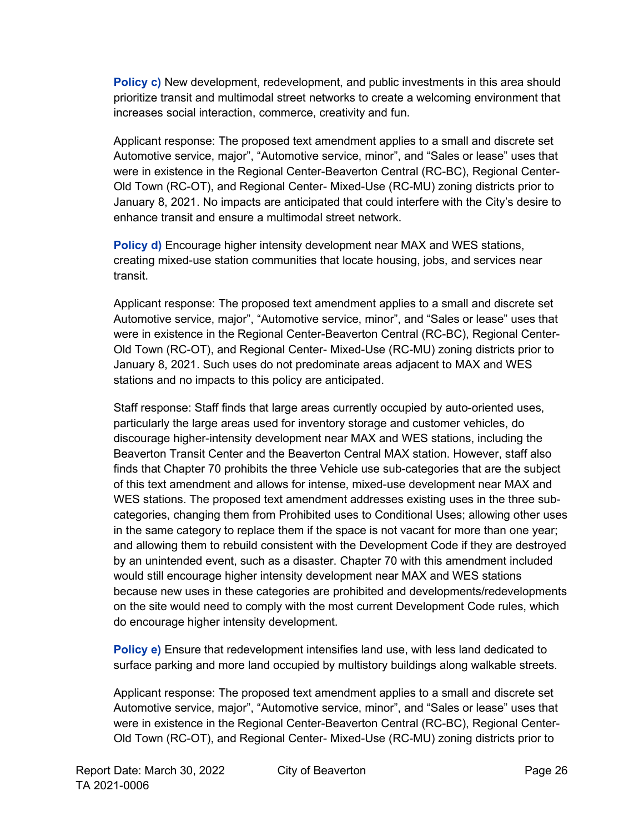**Policy c)** New development, redevelopment, and public investments in this area should prioritize transit and multimodal street networks to create a welcoming environment that increases social interaction, commerce, creativity and fun.

Applicant response: The proposed text amendment applies to a small and discrete set Automotive service, major", "Automotive service, minor", and "Sales or lease" uses that were in existence in the Regional Center-Beaverton Central (RC-BC), Regional Center-Old Town (RC-OT), and Regional Center- Mixed-Use (RC-MU) zoning districts prior to January 8, 2021. No impacts are anticipated that could interfere with the City's desire to enhance transit and ensure a multimodal street network.

**Policy d)** Encourage higher intensity development near MAX and WES stations, creating mixed-use station communities that locate housing, jobs, and services near transit.

Applicant response: The proposed text amendment applies to a small and discrete set Automotive service, major", "Automotive service, minor", and "Sales or lease" uses that were in existence in the Regional Center-Beaverton Central (RC-BC), Regional Center-Old Town (RC-OT), and Regional Center- Mixed-Use (RC-MU) zoning districts prior to January 8, 2021. Such uses do not predominate areas adjacent to MAX and WES stations and no impacts to this policy are anticipated.

Staff response: Staff finds that large areas currently occupied by auto-oriented uses, particularly the large areas used for inventory storage and customer vehicles, do discourage higher-intensity development near MAX and WES stations, including the Beaverton Transit Center and the Beaverton Central MAX station. However, staff also finds that Chapter 70 prohibits the three Vehicle use sub-categories that are the subject of this text amendment and allows for intense, mixed-use development near MAX and WES stations. The proposed text amendment addresses existing uses in the three subcategories, changing them from Prohibited uses to Conditional Uses; allowing other uses in the same category to replace them if the space is not vacant for more than one year; and allowing them to rebuild consistent with the Development Code if they are destroyed by an unintended event, such as a disaster. Chapter 70 with this amendment included would still encourage higher intensity development near MAX and WES stations because new uses in these categories are prohibited and developments/redevelopments on the site would need to comply with the most current Development Code rules, which do encourage higher intensity development.

**Policy e)** Ensure that redevelopment intensifies land use, with less land dedicated to surface parking and more land occupied by multistory buildings along walkable streets.

Applicant response: The proposed text amendment applies to a small and discrete set Automotive service, major", "Automotive service, minor", and "Sales or lease" uses that were in existence in the Regional Center-Beaverton Central (RC-BC), Regional Center-Old Town (RC-OT), and Regional Center- Mixed-Use (RC-MU) zoning districts prior to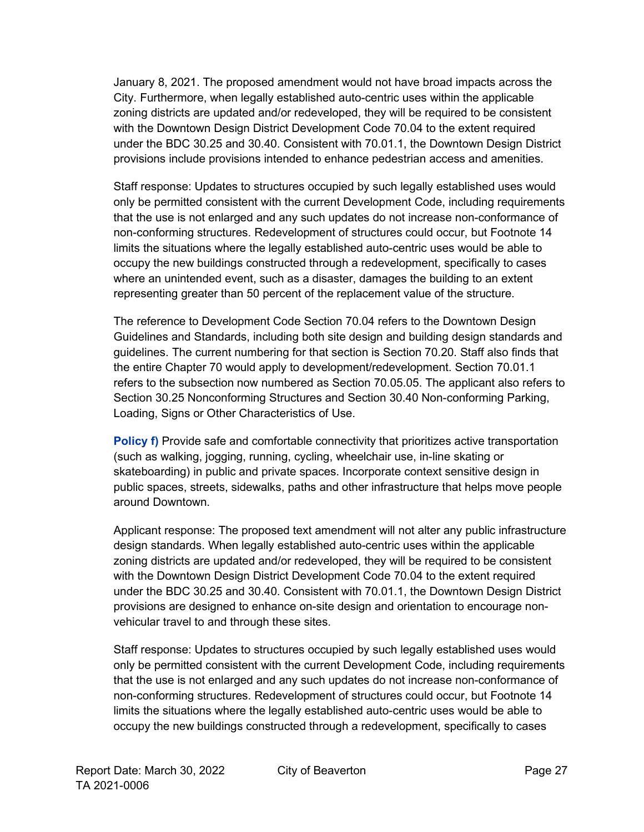January 8, 2021. The proposed amendment would not have broad impacts across the City. Furthermore, when legally established auto-centric uses within the applicable zoning districts are updated and/or redeveloped, they will be required to be consistent with the Downtown Design District Development Code 70.04 to the extent required under the BDC 30.25 and 30.40. Consistent with 70.01.1, the Downtown Design District provisions include provisions intended to enhance pedestrian access and amenities.

Staff response: Updates to structures occupied by such legally established uses would only be permitted consistent with the current Development Code, including requirements that the use is not enlarged and any such updates do not increase non-conformance of non-conforming structures. Redevelopment of structures could occur, but Footnote 14 limits the situations where the legally established auto-centric uses would be able to occupy the new buildings constructed through a redevelopment, specifically to cases where an unintended event, such as a disaster, damages the building to an extent representing greater than 50 percent of the replacement value of the structure.

The reference to Development Code Section 70.04 refers to the Downtown Design Guidelines and Standards, including both site design and building design standards and guidelines. The current numbering for that section is Section 70.20. Staff also finds that the entire Chapter 70 would apply to development/redevelopment. Section 70.01.1 refers to the subsection now numbered as Section 70.05.05. The applicant also refers to Section 30.25 Nonconforming Structures and Section 30.40 Non-conforming Parking, Loading, Signs or Other Characteristics of Use.

**Policy f)** Provide safe and comfortable connectivity that prioritizes active transportation (such as walking, jogging, running, cycling, wheelchair use, in-line skating or skateboarding) in public and private spaces. Incorporate context sensitive design in public spaces, streets, sidewalks, paths and other infrastructure that helps move people around Downtown.

Applicant response: The proposed text amendment will not alter any public infrastructure design standards. When legally established auto-centric uses within the applicable zoning districts are updated and/or redeveloped, they will be required to be consistent with the Downtown Design District Development Code 70.04 to the extent required under the BDC 30.25 and 30.40. Consistent with 70.01.1, the Downtown Design District provisions are designed to enhance on-site design and orientation to encourage nonvehicular travel to and through these sites.

Staff response: Updates to structures occupied by such legally established uses would only be permitted consistent with the current Development Code, including requirements that the use is not enlarged and any such updates do not increase non-conformance of non-conforming structures. Redevelopment of structures could occur, but Footnote 14 limits the situations where the legally established auto-centric uses would be able to occupy the new buildings constructed through a redevelopment, specifically to cases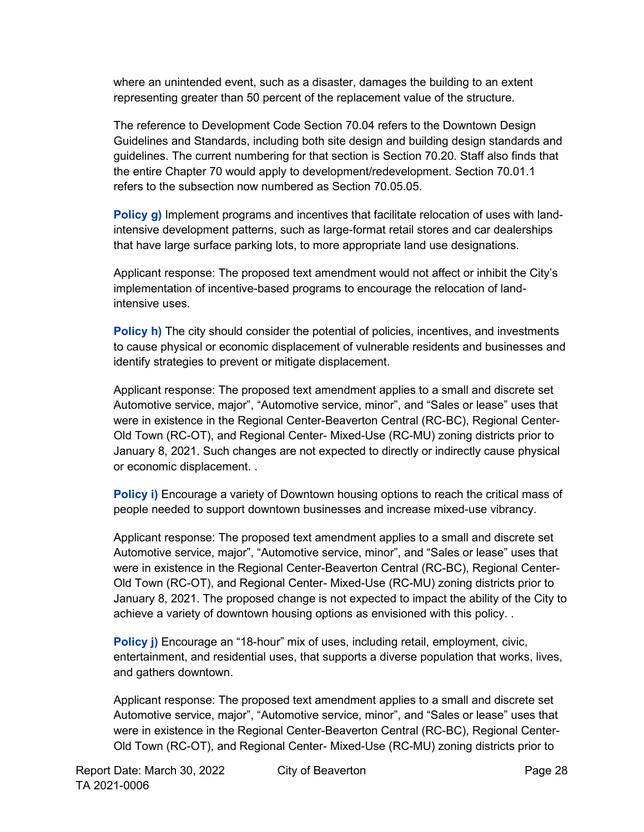where an unintended event, such as a disaster, damages the building to an extent representing greater than 50 percent of the replacement value of the structure.

The reference to Development Code Section 70.04 refers to the Downtown Design Guidelines and Standards, including both site design and building design standards and guidelines. The current numbering for that section is Section 70.20. Staff also finds that the entire Chapter 70 would apply to development/redevelopment. Section 70.01.1 refers to the subsection now numbered as Section 70.05.05.

**Policy g)** Implement programs and incentives that facilitate relocation of uses with landintensive development patterns, such as large-format retail stores and car dealerships that have large surface parking lots, to more appropriate land use designations.

Applicant response: The proposed text amendment would not affect or inhibit the City's implementation of incentive-based programs to encourage the relocation of landintensive uses.

**Policy h)** The city should consider the potential of policies, incentives, and investments to cause physical or economic displacement of vulnerable residents and businesses and identify strategies to prevent or mitigate displacement.

Applicant response: The proposed text amendment applies to a small and discrete set Automotive service, major", "Automotive service, minor", and "Sales or lease" uses that were in existence in the Regional Center-Beaverton Central (RC-BC), Regional Center-Old Town (RC-OT), and Regional Center- Mixed-Use (RC-MU) zoning districts prior to January 8, 2021. Such changes are not expected to directly or indirectly cause physical or economic displacement. .

**Policy i)** Encourage a variety of Downtown housing options to reach the critical mass of people needed to support downtown businesses and increase mixed-use vibrancy.

Applicant response: The proposed text amendment applies to a small and discrete set Automotive service, major", "Automotive service, minor", and "Sales or lease" uses that were in existence in the Regional Center-Beaverton Central (RC-BC), Regional Center-Old Town (RC-OT), and Regional Center- Mixed-Use (RC-MU) zoning districts prior to January 8, 2021. The proposed change is not expected to impact the ability of the City to achieve a variety of downtown housing options as envisioned with this policy. .

**Policy j)** Encourage an "18-hour" mix of uses, including retail, employment, civic, entertainment, and residential uses, that supports a diverse population that works, lives, and gathers downtown.

Applicant response: The proposed text amendment applies to a small and discrete set Automotive service, major", "Automotive service, minor", and "Sales or lease" uses that were in existence in the Regional Center-Beaverton Central (RC-BC), Regional Center-Old Town (RC-OT), and Regional Center- Mixed-Use (RC-MU) zoning districts prior to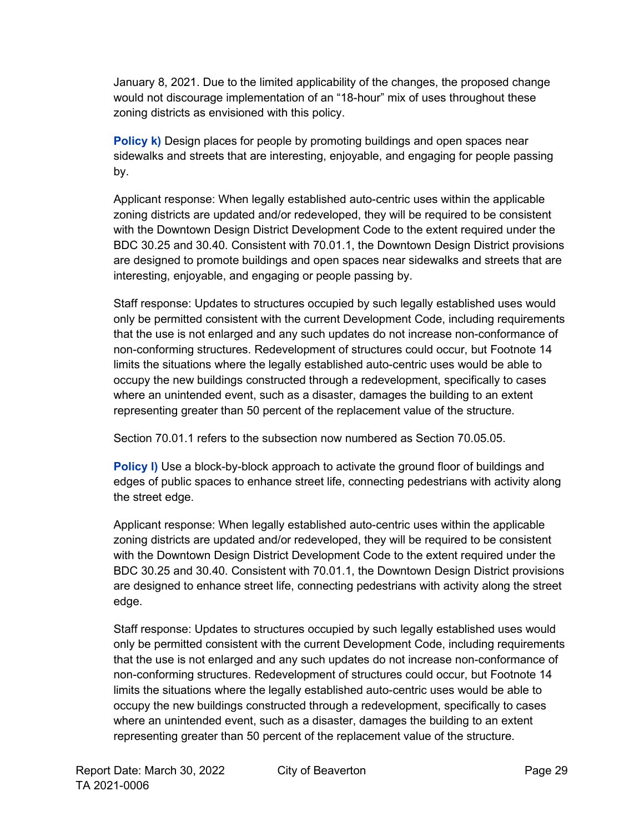January 8, 2021. Due to the limited applicability of the changes, the proposed change would not discourage implementation of an "18-hour" mix of uses throughout these zoning districts as envisioned with this policy.

**Policy k)** Design places for people by promoting buildings and open spaces near sidewalks and streets that are interesting, enjoyable, and engaging for people passing by.

Applicant response: When legally established auto-centric uses within the applicable zoning districts are updated and/or redeveloped, they will be required to be consistent with the Downtown Design District Development Code to the extent required under the BDC 30.25 and 30.40. Consistent with 70.01.1, the Downtown Design District provisions are designed to promote buildings and open spaces near sidewalks and streets that are interesting, enjoyable, and engaging or people passing by.

Staff response: Updates to structures occupied by such legally established uses would only be permitted consistent with the current Development Code, including requirements that the use is not enlarged and any such updates do not increase non-conformance of non-conforming structures. Redevelopment of structures could occur, but Footnote 14 limits the situations where the legally established auto-centric uses would be able to occupy the new buildings constructed through a redevelopment, specifically to cases where an unintended event, such as a disaster, damages the building to an extent representing greater than 50 percent of the replacement value of the structure.

Section 70.01.1 refers to the subsection now numbered as Section 70.05.05.

**Policy I)** Use a block-by-block approach to activate the ground floor of buildings and edges of public spaces to enhance street life, connecting pedestrians with activity along the street edge.

Applicant response: When legally established auto-centric uses within the applicable zoning districts are updated and/or redeveloped, they will be required to be consistent with the Downtown Design District Development Code to the extent required under the BDC 30.25 and 30.40. Consistent with 70.01.1, the Downtown Design District provisions are designed to enhance street life, connecting pedestrians with activity along the street edge.

Staff response: Updates to structures occupied by such legally established uses would only be permitted consistent with the current Development Code, including requirements that the use is not enlarged and any such updates do not increase non-conformance of non-conforming structures. Redevelopment of structures could occur, but Footnote 14 limits the situations where the legally established auto-centric uses would be able to occupy the new buildings constructed through a redevelopment, specifically to cases where an unintended event, such as a disaster, damages the building to an extent representing greater than 50 percent of the replacement value of the structure.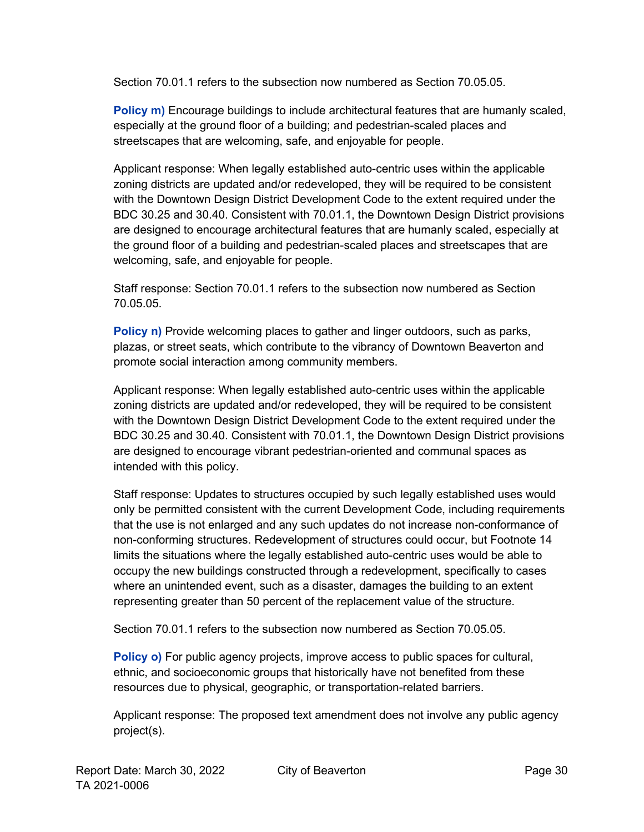Section 70.01.1 refers to the subsection now numbered as Section 70.05.05.

**Policy m)** Encourage buildings to include architectural features that are humanly scaled, especially at the ground floor of a building; and pedestrian-scaled places and streetscapes that are welcoming, safe, and enjoyable for people.

Applicant response: When legally established auto-centric uses within the applicable zoning districts are updated and/or redeveloped, they will be required to be consistent with the Downtown Design District Development Code to the extent required under the BDC 30.25 and 30.40. Consistent with 70.01.1, the Downtown Design District provisions are designed to encourage architectural features that are humanly scaled, especially at the ground floor of a building and pedestrian-scaled places and streetscapes that are welcoming, safe, and enjoyable for people.

Staff response: Section 70.01.1 refers to the subsection now numbered as Section 70.05.05.

**Policy n)** Provide welcoming places to gather and linger outdoors, such as parks, plazas, or street seats, which contribute to the vibrancy of Downtown Beaverton and promote social interaction among community members.

Applicant response: When legally established auto-centric uses within the applicable zoning districts are updated and/or redeveloped, they will be required to be consistent with the Downtown Design District Development Code to the extent required under the BDC 30.25 and 30.40. Consistent with 70.01.1, the Downtown Design District provisions are designed to encourage vibrant pedestrian-oriented and communal spaces as intended with this policy.

Staff response: Updates to structures occupied by such legally established uses would only be permitted consistent with the current Development Code, including requirements that the use is not enlarged and any such updates do not increase non-conformance of non-conforming structures. Redevelopment of structures could occur, but Footnote 14 limits the situations where the legally established auto-centric uses would be able to occupy the new buildings constructed through a redevelopment, specifically to cases where an unintended event, such as a disaster, damages the building to an extent representing greater than 50 percent of the replacement value of the structure.

Section 70.01.1 refers to the subsection now numbered as Section 70.05.05.

**Policy o)** For public agency projects, improve access to public spaces for cultural, ethnic, and socioeconomic groups that historically have not benefited from these resources due to physical, geographic, or transportation-related barriers.

Applicant response: The proposed text amendment does not involve any public agency project(s).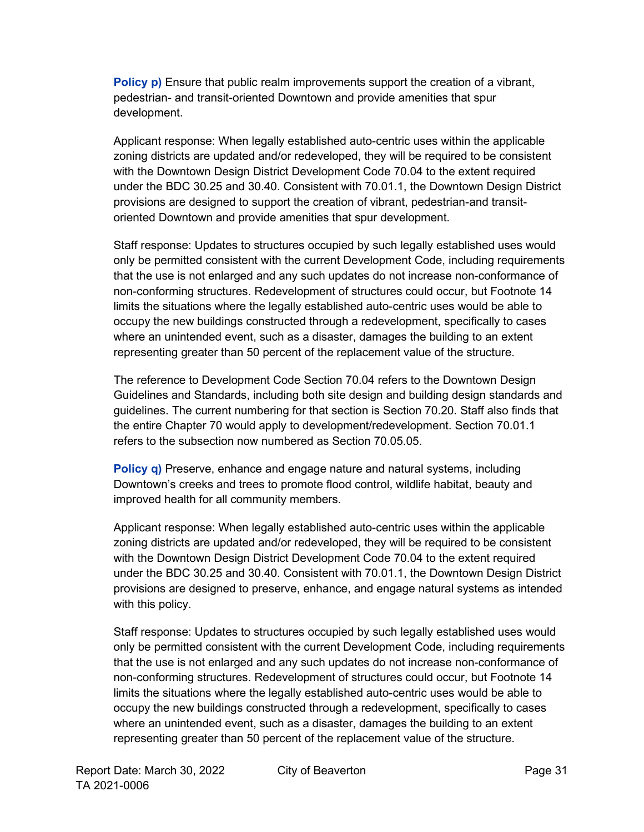**Policy p)** Ensure that public realm improvements support the creation of a vibrant, pedestrian- and transit-oriented Downtown and provide amenities that spur development.

Applicant response: When legally established auto-centric uses within the applicable zoning districts are updated and/or redeveloped, they will be required to be consistent with the Downtown Design District Development Code 70.04 to the extent required under the BDC 30.25 and 30.40. Consistent with 70.01.1, the Downtown Design District provisions are designed to support the creation of vibrant, pedestrian-and transitoriented Downtown and provide amenities that spur development.

Staff response: Updates to structures occupied by such legally established uses would only be permitted consistent with the current Development Code, including requirements that the use is not enlarged and any such updates do not increase non-conformance of non-conforming structures. Redevelopment of structures could occur, but Footnote 14 limits the situations where the legally established auto-centric uses would be able to occupy the new buildings constructed through a redevelopment, specifically to cases where an unintended event, such as a disaster, damages the building to an extent representing greater than 50 percent of the replacement value of the structure.

The reference to Development Code Section 70.04 refers to the Downtown Design Guidelines and Standards, including both site design and building design standards and guidelines. The current numbering for that section is Section 70.20. Staff also finds that the entire Chapter 70 would apply to development/redevelopment. Section 70.01.1 refers to the subsection now numbered as Section 70.05.05.

**Policy q)** Preserve, enhance and engage nature and natural systems, including Downtown's creeks and trees to promote flood control, wildlife habitat, beauty and improved health for all community members.

Applicant response: When legally established auto-centric uses within the applicable zoning districts are updated and/or redeveloped, they will be required to be consistent with the Downtown Design District Development Code 70.04 to the extent required under the BDC 30.25 and 30.40. Consistent with 70.01.1, the Downtown Design District provisions are designed to preserve, enhance, and engage natural systems as intended with this policy.

Staff response: Updates to structures occupied by such legally established uses would only be permitted consistent with the current Development Code, including requirements that the use is not enlarged and any such updates do not increase non-conformance of non-conforming structures. Redevelopment of structures could occur, but Footnote 14 limits the situations where the legally established auto-centric uses would be able to occupy the new buildings constructed through a redevelopment, specifically to cases where an unintended event, such as a disaster, damages the building to an extent representing greater than 50 percent of the replacement value of the structure.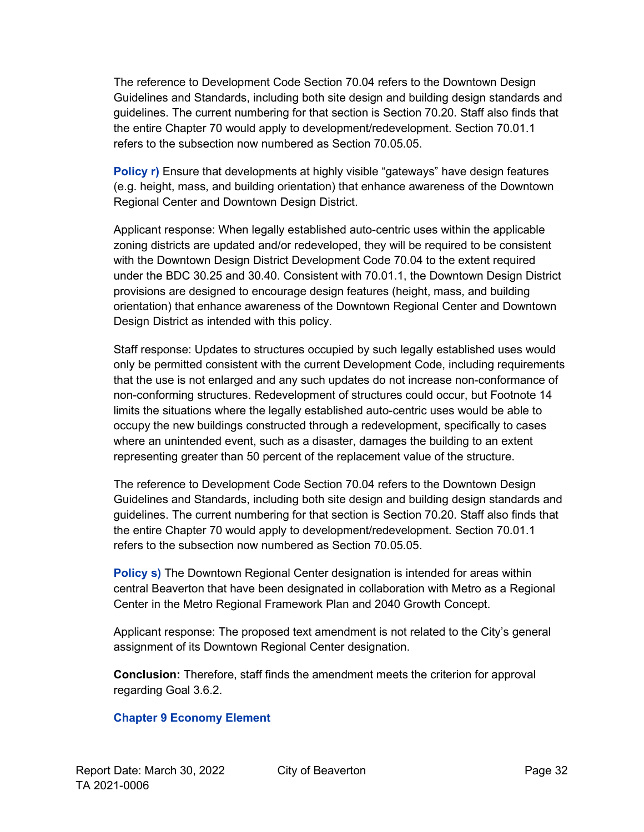The reference to Development Code Section 70.04 refers to the Downtown Design Guidelines and Standards, including both site design and building design standards and guidelines. The current numbering for that section is Section 70.20. Staff also finds that the entire Chapter 70 would apply to development/redevelopment. Section 70.01.1 refers to the subsection now numbered as Section 70.05.05.

**Policy r)** Ensure that developments at highly visible "gateways" have design features (e.g. height, mass, and building orientation) that enhance awareness of the Downtown Regional Center and Downtown Design District.

Applicant response: When legally established auto-centric uses within the applicable zoning districts are updated and/or redeveloped, they will be required to be consistent with the Downtown Design District Development Code 70.04 to the extent required under the BDC 30.25 and 30.40. Consistent with 70.01.1, the Downtown Design District provisions are designed to encourage design features (height, mass, and building orientation) that enhance awareness of the Downtown Regional Center and Downtown Design District as intended with this policy.

Staff response: Updates to structures occupied by such legally established uses would only be permitted consistent with the current Development Code, including requirements that the use is not enlarged and any such updates do not increase non-conformance of non-conforming structures. Redevelopment of structures could occur, but Footnote 14 limits the situations where the legally established auto-centric uses would be able to occupy the new buildings constructed through a redevelopment, specifically to cases where an unintended event, such as a disaster, damages the building to an extent representing greater than 50 percent of the replacement value of the structure.

The reference to Development Code Section 70.04 refers to the Downtown Design Guidelines and Standards, including both site design and building design standards and guidelines. The current numbering for that section is Section 70.20. Staff also finds that the entire Chapter 70 would apply to development/redevelopment. Section 70.01.1 refers to the subsection now numbered as Section 70.05.05.

**Policy s)** The Downtown Regional Center designation is intended for areas within central Beaverton that have been designated in collaboration with Metro as a Regional Center in the Metro Regional Framework Plan and 2040 Growth Concept.

Applicant response: The proposed text amendment is not related to the City's general assignment of its Downtown Regional Center designation.

**Conclusion:** Therefore, staff finds the amendment meets the criterion for approval regarding Goal 3.6.2.

#### **Chapter 9 Economy Element**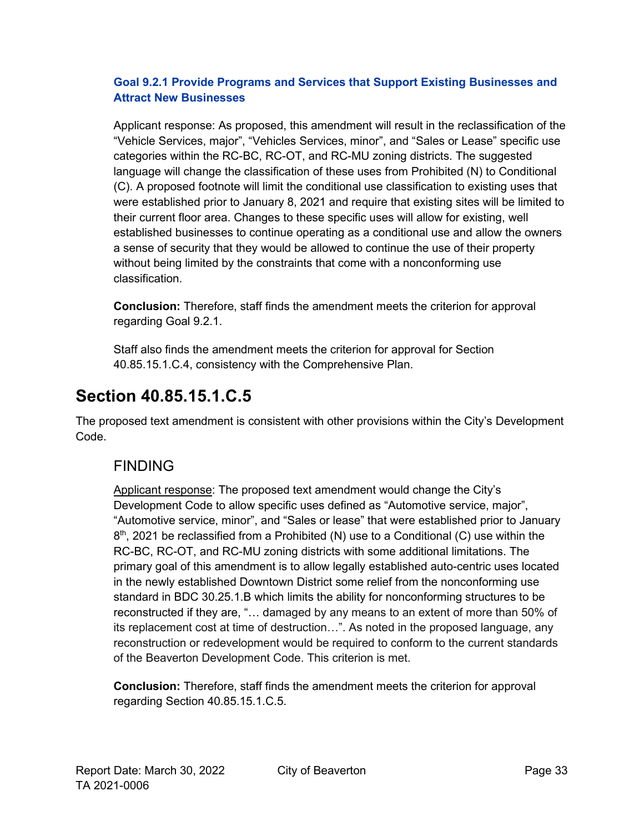#### **Goal 9.2.1 Provide Programs and Services that Support Existing Businesses and Attract New Businesses**

Applicant response: As proposed, this amendment will result in the reclassification of the "Vehicle Services, major", "Vehicles Services, minor", and "Sales or Lease" specific use categories within the RC-BC, RC-OT, and RC-MU zoning districts. The suggested language will change the classification of these uses from Prohibited (N) to Conditional (C). A proposed footnote will limit the conditional use classification to existing uses that were established prior to January 8, 2021 and require that existing sites will be limited to their current floor area. Changes to these specific uses will allow for existing, well established businesses to continue operating as a conditional use and allow the owners a sense of security that they would be allowed to continue the use of their property without being limited by the constraints that come with a nonconforming use classification.

**Conclusion:** Therefore, staff finds the amendment meets the criterion for approval regarding Goal 9.2.1.

Staff also finds the amendment meets the criterion for approval for Section 40.85.15.1.C.4, consistency with the Comprehensive Plan.

## <span id="page-32-0"></span>**Section 40.85.15.1.C.5**

The proposed text amendment is consistent with other provisions within the City's Development Code.

## FINDING

Applicant response: The proposed text amendment would change the City's Development Code to allow specific uses defined as "Automotive service, major", "Automotive service, minor", and "Sales or lease" that were established prior to January  $8<sup>th</sup>$ , 2021 be reclassified from a Prohibited (N) use to a Conditional (C) use within the RC-BC, RC-OT, and RC-MU zoning districts with some additional limitations. The primary goal of this amendment is to allow legally established auto-centric uses located in the newly established Downtown District some relief from the nonconforming use standard in BDC 30.25.1.B which limits the ability for nonconforming structures to be reconstructed if they are, "… damaged by any means to an extent of more than 50% of its replacement cost at time of destruction…". As noted in the proposed language, any reconstruction or redevelopment would be required to conform to the current standards of the Beaverton Development Code. This criterion is met.

**Conclusion:** Therefore, staff finds the amendment meets the criterion for approval regarding Section 40.85.15.1.C.5.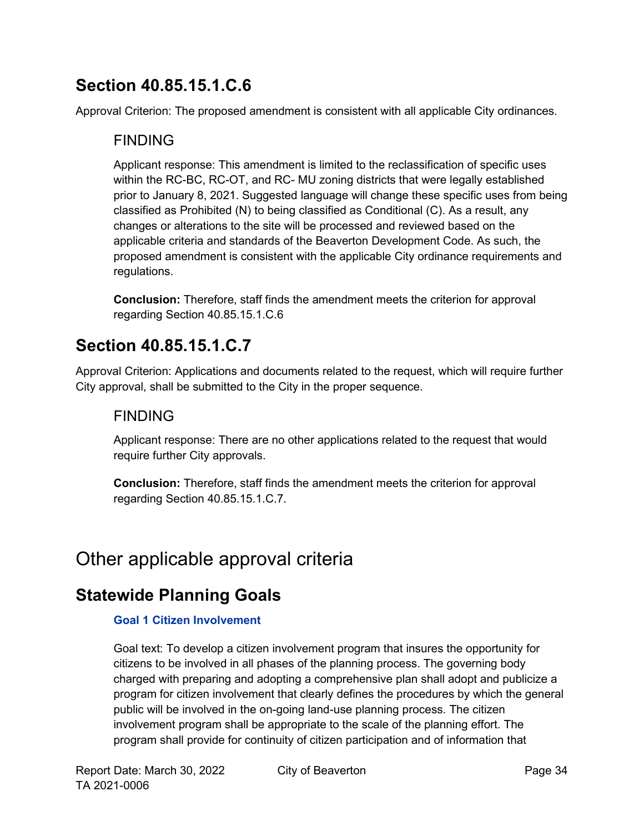## <span id="page-33-0"></span>**Section 40.85.15.1.C.6**

Approval Criterion: The proposed amendment is consistent with all applicable City ordinances.

### FINDING

Applicant response: This amendment is limited to the reclassification of specific uses within the RC-BC, RC-OT, and RC- MU zoning districts that were legally established prior to January 8, 2021. Suggested language will change these specific uses from being classified as Prohibited (N) to being classified as Conditional (C). As a result, any changes or alterations to the site will be processed and reviewed based on the applicable criteria and standards of the Beaverton Development Code. As such, the proposed amendment is consistent with the applicable City ordinance requirements and regulations.

**Conclusion:** Therefore, staff finds the amendment meets the criterion for approval regarding Section 40.85.15.1.C.6

## <span id="page-33-1"></span>**Section 40.85.15.1.C.7**

Approval Criterion: Applications and documents related to the request, which will require further City approval, shall be submitted to the City in the proper sequence.

### FINDING

Applicant response: There are no other applications related to the request that would require further City approvals.

**Conclusion:** Therefore, staff finds the amendment meets the criterion for approval regarding Section 40.85.15.1.C.7.

# <span id="page-33-2"></span>Other applicable approval criteria

## <span id="page-33-3"></span>**Statewide Planning Goals**

#### **Goal 1 Citizen Involvement**

Goal text: To develop a citizen involvement program that insures the opportunity for citizens to be involved in all phases of the planning process. The governing body charged with preparing and adopting a comprehensive plan shall adopt and publicize a program for citizen involvement that clearly defines the procedures by which the general public will be involved in the on-going land-use planning process. The citizen involvement program shall be appropriate to the scale of the planning effort. The program shall provide for continuity of citizen participation and of information that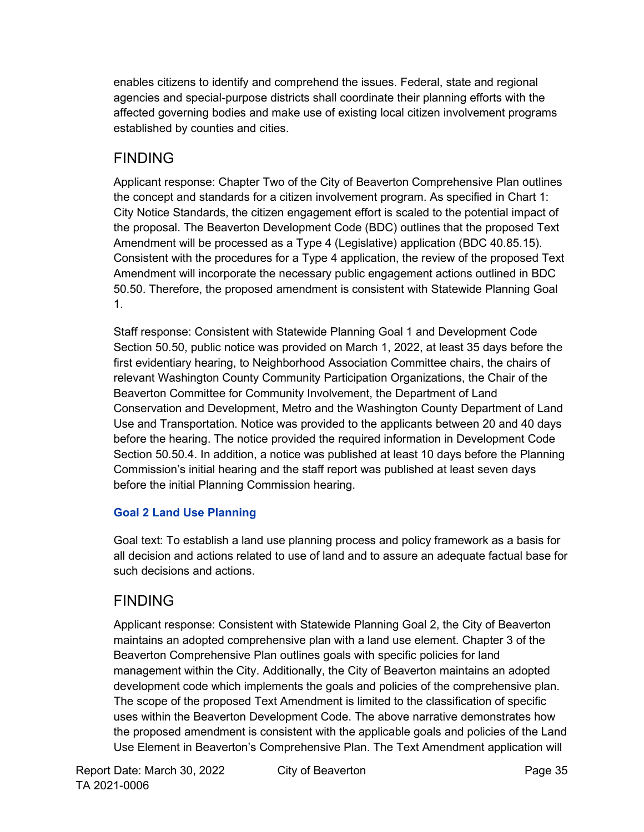enables citizens to identify and comprehend the issues. Federal, state and regional agencies and special-purpose districts shall coordinate their planning efforts with the affected governing bodies and make use of existing local citizen involvement programs established by counties and cities.

## FINDING

Applicant response: Chapter Two of the City of Beaverton Comprehensive Plan outlines the concept and standards for a citizen involvement program. As specified in Chart 1: City Notice Standards, the citizen engagement effort is scaled to the potential impact of the proposal. The Beaverton Development Code (BDC) outlines that the proposed Text Amendment will be processed as a Type 4 (Legislative) application (BDC 40.85.15). Consistent with the procedures for a Type 4 application, the review of the proposed Text Amendment will incorporate the necessary public engagement actions outlined in BDC 50.50. Therefore, the proposed amendment is consistent with Statewide Planning Goal 1.

Staff response: Consistent with Statewide Planning Goal 1 and Development Code Section 50.50, public notice was provided on March 1, 2022, at least 35 days before the first evidentiary hearing, to Neighborhood Association Committee chairs, the chairs of relevant Washington County Community Participation Organizations, the Chair of the Beaverton Committee for Community Involvement, the Department of Land Conservation and Development, Metro and the Washington County Department of Land Use and Transportation. Notice was provided to the applicants between 20 and 40 days before the hearing. The notice provided the required information in Development Code Section 50.50.4. In addition, a notice was published at least 10 days before the Planning Commission's initial hearing and the staff report was published at least seven days before the initial Planning Commission hearing.

### **Goal 2 Land Use Planning**

Goal text: To establish a land use planning process and policy framework as a basis for all decision and actions related to use of land and to assure an adequate factual base for such decisions and actions.

## FINDING

Applicant response: Consistent with Statewide Planning Goal 2, the City of Beaverton maintains an adopted comprehensive plan with a land use element. Chapter 3 of the Beaverton Comprehensive Plan outlines goals with specific policies for land management within the City. Additionally, the City of Beaverton maintains an adopted development code which implements the goals and policies of the comprehensive plan. The scope of the proposed Text Amendment is limited to the classification of specific uses within the Beaverton Development Code. The above narrative demonstrates how the proposed amendment is consistent with the applicable goals and policies of the Land Use Element in Beaverton's Comprehensive Plan. The Text Amendment application will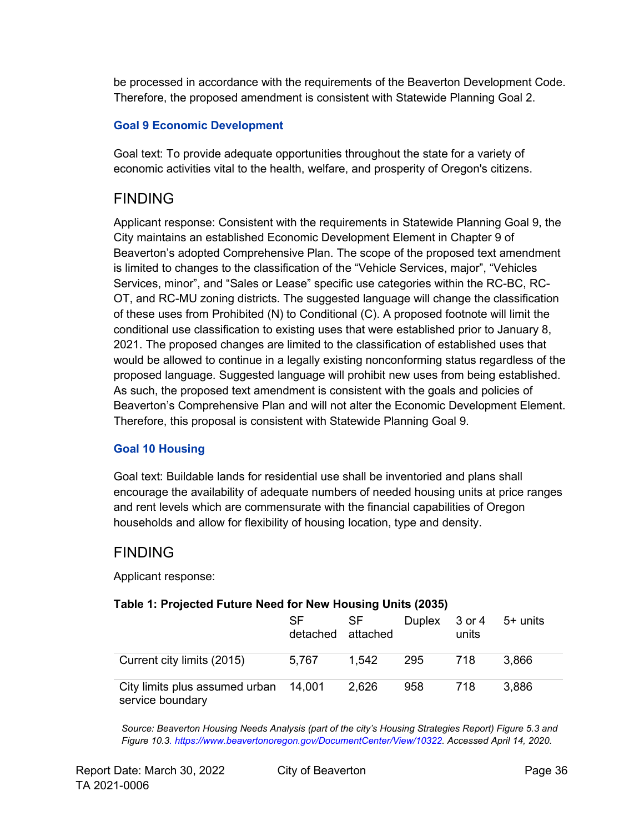be processed in accordance with the requirements of the Beaverton Development Code. Therefore, the proposed amendment is consistent with Statewide Planning Goal 2.

#### **Goal 9 Economic Development**

Goal text: To provide adequate opportunities throughout the state for a variety of economic activities vital to the health, welfare, and prosperity of Oregon's citizens.

### FINDING

Applicant response: Consistent with the requirements in Statewide Planning Goal 9, the City maintains an established Economic Development Element in Chapter 9 of Beaverton's adopted Comprehensive Plan. The scope of the proposed text amendment is limited to changes to the classification of the "Vehicle Services, major", "Vehicles Services, minor", and "Sales or Lease" specific use categories within the RC-BC, RC-OT, and RC-MU zoning districts. The suggested language will change the classification of these uses from Prohibited (N) to Conditional (C). A proposed footnote will limit the conditional use classification to existing uses that were established prior to January 8, 2021. The proposed changes are limited to the classification of established uses that would be allowed to continue in a legally existing nonconforming status regardless of the proposed language. Suggested language will prohibit new uses from being established. As such, the proposed text amendment is consistent with the goals and policies of Beaverton's Comprehensive Plan and will not alter the Economic Development Element. Therefore, this proposal is consistent with Statewide Planning Goal 9.

#### **Goal 10 Housing**

Goal text: Buildable lands for residential use shall be inventoried and plans shall encourage the availability of adequate numbers of needed housing units at price ranges and rent levels which are commensurate with the financial capabilities of Oregon households and allow for flexibility of housing location, type and density.

### FINDING

Applicant response:

#### **Table 1: Projected Future Need for New Housing Units (2035)**

|                                                           | SF<br>detached attached | SF.   | Duplex $3$ or $4$ $5+$ units | units |       |
|-----------------------------------------------------------|-------------------------|-------|------------------------------|-------|-------|
| Current city limits (2015)                                | 5,767                   | 1.542 | 295                          | 718   | 3,866 |
| City limits plus assumed urban 14,001<br>service boundary |                         | 2,626 | 958                          | 718   | 3,886 |

*Source: Beaverton Housing Needs Analysis (part of the city's Housing Strategies Report) Figure 5.3 and Figure 10.[3.](https://www.beavertonoregon.gov/DocumentCenter/View/10322) [https://www.beavertonoregon.gov/DocumentCenter/View/10322. A](https://www.beavertonoregon.gov/DocumentCenter/View/10322)ccessed April 14, 2020.*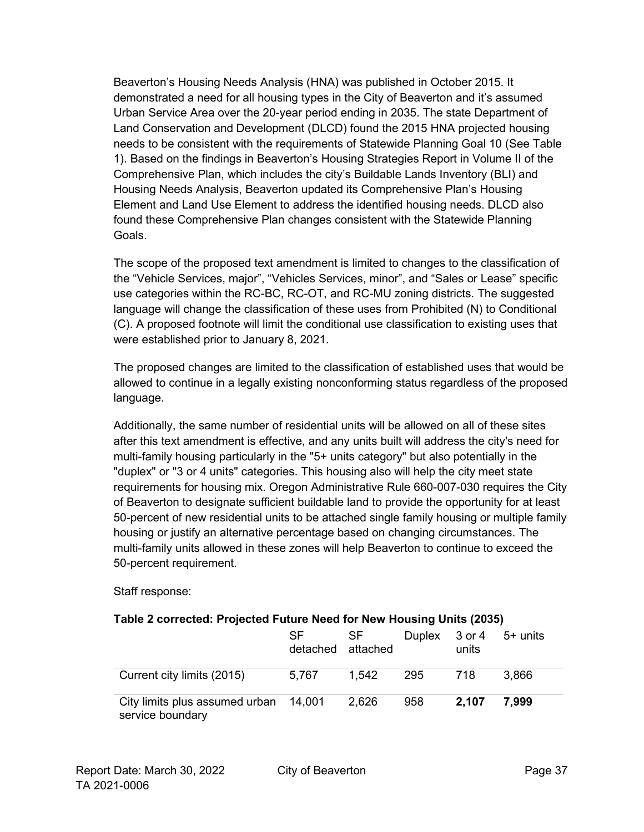Beaverton's Housing Needs Analysis (HNA) was published in October 2015. It demonstrated a need for all housing types in the City of Beaverton and it's assumed Urban Service Area over the 20-year period ending in 2035. The state Department of Land Conservation and Development (DLCD) found the 2015 HNA projected housing needs to be consistent with the requirements of Statewide Planning Goal 10 (See Table 1). Based on the findings in Beaverton's Housing Strategies Report in Volume II of the Comprehensive Plan, which includes the city's Buildable Lands Inventory (BLI) and Housing Needs Analysis, Beaverton updated its Comprehensive Plan's Housing Element and Land Use Element to address the identified housing needs. DLCD also found these Comprehensive Plan changes consistent with the Statewide Planning Goals.

The scope of the proposed text amendment is limited to changes to the classification of the "Vehicle Services, major", "Vehicles Services, minor", and "Sales or Lease" specific use categories within the RC-BC, RC-OT, and RC-MU zoning districts. The suggested language will change the classification of these uses from Prohibited (N) to Conditional (C). A proposed footnote will limit the conditional use classification to existing uses that were established prior to January 8, 2021.

The proposed changes are limited to the classification of established uses that would be allowed to continue in a legally existing nonconforming status regardless of the proposed language.

Additionally, the same number of residential units will be allowed on all of these sites after this text amendment is effective, and any units built will address the city's need for multi-family housing particularly in the "5+ units category" but also potentially in the "duplex" or "3 or 4 units" categories. This housing also will help the city meet state requirements for housing mix. Oregon Administrative Rule 660-007-030 requires the City of Beaverton to designate sufficient buildable land to provide the opportunity for at least 50-percent of new residential units to be attached single family housing or multiple family housing or justify an alternative percentage based on changing circumstances. The multi-family units allowed in these zones will help Beaverton to continue to exceed the 50-percent requirement.

Staff response:

#### **Table 2 corrected: Projected Future Need for New Housing Units (2035)**

 $C<sub>F</sub>$ 

|                                                           | <b>SF</b><br>detached attached | SF.   |     | units | Duplex 3 or 4 5+ units |
|-----------------------------------------------------------|--------------------------------|-------|-----|-------|------------------------|
| Current city limits (2015)                                | 5,767                          | 1,542 | 295 | -718  | 3.866                  |
| City limits plus assumed urban 14,001<br>service boundary |                                | 2,626 | 958 | 2.107 | 7,999                  |

 $C<sub>F</sub>$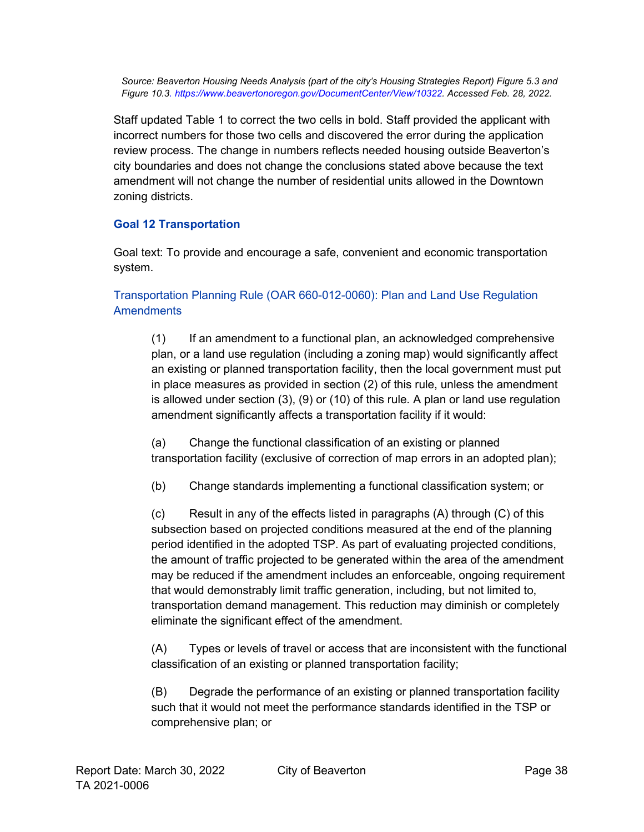*Source: Beaverton Housing Needs Analysis (part of the city's Housing Strategies Report) Figure 5.3 and Figure 10.[3.](https://www.beavertonoregon.gov/DocumentCenter/View/10322) [https://www.beavertonoregon.gov/DocumentCenter/View/10322. A](https://www.beavertonoregon.gov/DocumentCenter/View/10322)ccessed Feb. 28, 2022.*

Staff updated Table 1 to correct the two cells in bold. Staff provided the applicant with incorrect numbers for those two cells and discovered the error during the application review process. The change in numbers reflects needed housing outside Beaverton's city boundaries and does not change the conclusions stated above because the text amendment will not change the number of residential units allowed in the Downtown zoning districts.

#### **Goal 12 Transportation**

Goal text: To provide and encourage a safe, convenient and economic transportation system.

#### Transportation Planning Rule (OAR 660-012-0060): Plan and Land Use Regulation **Amendments**

(1) If an amendment to a functional plan, an acknowledged comprehensive plan, or a land use regulation (including a zoning map) would significantly affect an existing or planned transportation facility, then the local government must put in place measures as provided in section (2) of this rule, unless the amendment is allowed under section (3), (9) or (10) of this rule. A plan or land use regulation amendment significantly affects a transportation facility if it would:

(a) Change the functional classification of an existing or planned transportation facility (exclusive of correction of map errors in an adopted plan);

(b) Change standards implementing a functional classification system; or

(c) Result in any of the effects listed in paragraphs (A) through (C) of this subsection based on projected conditions measured at the end of the planning period identified in the adopted TSP. As part of evaluating projected conditions, the amount of traffic projected to be generated within the area of the amendment may be reduced if the amendment includes an enforceable, ongoing requirement that would demonstrably limit traffic generation, including, but not limited to, transportation demand management. This reduction may diminish or completely eliminate the significant effect of the amendment.

(A) Types or levels of travel or access that are inconsistent with the functional classification of an existing or planned transportation facility;

(B) Degrade the performance of an existing or planned transportation facility such that it would not meet the performance standards identified in the TSP or comprehensive plan; or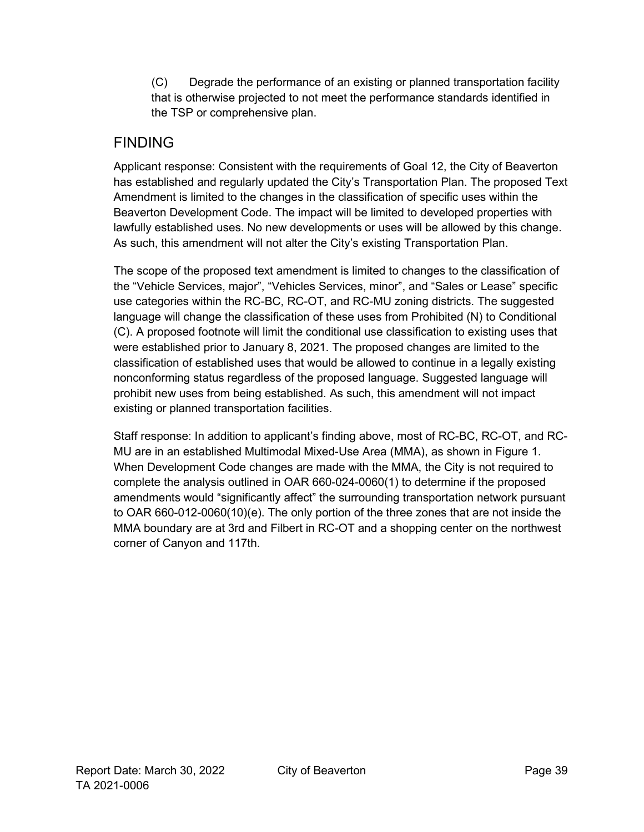(C) Degrade the performance of an existing or planned transportation facility that is otherwise projected to not meet the performance standards identified in the TSP or comprehensive plan.

### FINDING

Applicant response: Consistent with the requirements of Goal 12, the City of Beaverton has established and regularly updated the City's Transportation Plan. The proposed Text Amendment is limited to the changes in the classification of specific uses within the Beaverton Development Code. The impact will be limited to developed properties with lawfully established uses. No new developments or uses will be allowed by this change. As such, this amendment will not alter the City's existing Transportation Plan.

The scope of the proposed text amendment is limited to changes to the classification of the "Vehicle Services, major", "Vehicles Services, minor", and "Sales or Lease" specific use categories within the RC-BC, RC-OT, and RC-MU zoning districts. The suggested language will change the classification of these uses from Prohibited (N) to Conditional (C). A proposed footnote will limit the conditional use classification to existing uses that were established prior to January 8, 2021. The proposed changes are limited to the classification of established uses that would be allowed to continue in a legally existing nonconforming status regardless of the proposed language. Suggested language will prohibit new uses from being established. As such, this amendment will not impact existing or planned transportation facilities.

Staff response: In addition to applicant's finding above, most of RC-BC, RC-OT, and RC-MU are in an established Multimodal Mixed-Use Area (MMA), as shown in Figure 1. When Development Code changes are made with the MMA, the City is not required to complete the analysis outlined in OAR 660-024-0060(1) to determine if the proposed amendments would "significantly affect" the surrounding transportation network pursuant to OAR 660-012-0060(10)(e). The only portion of the three zones that are not inside the MMA boundary are at 3rd and Filbert in RC-OT and a shopping center on the northwest corner of Canyon and 117th.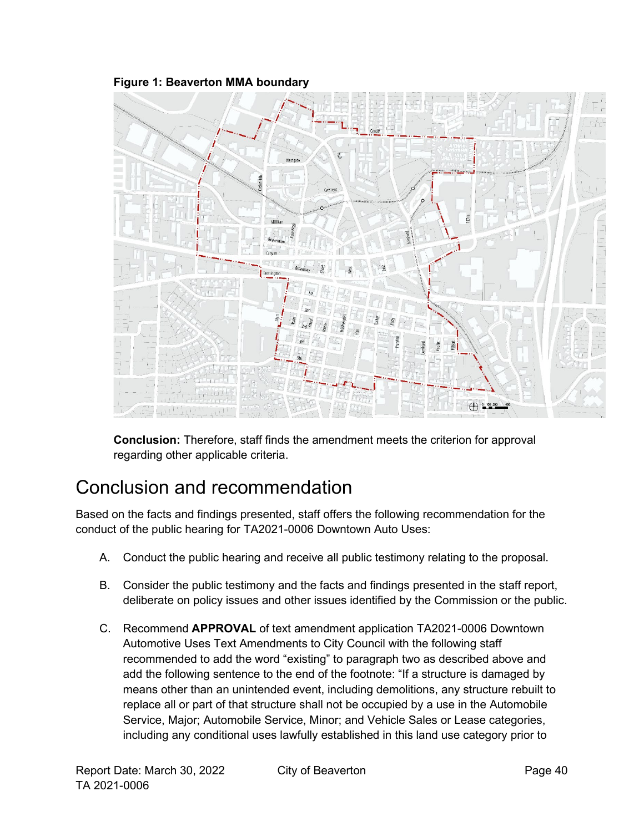#### **Figure 1: Beaverton MMA boundary**



**Conclusion:** Therefore, staff finds the amendment meets the criterion for approval regarding other applicable criteria.

# <span id="page-39-0"></span>Conclusion and recommendation

Based on the facts and findings presented, staff offers the following recommendation for the conduct of the public hearing for TA2021-0006 Downtown Auto Uses:

- A. Conduct the public hearing and receive all public testimony relating to the proposal.
- B. Consider the public testimony and the facts and findings presented in the staff report, deliberate on policy issues and other issues identified by the Commission or the public.
- C. Recommend **APPROVAL** of text amendment application TA2021-0006 Downtown Automotive Uses Text Amendments to City Council with the following staff recommended to add the word "existing" to paragraph two as described above and add the following sentence to the end of the footnote: "If a structure is damaged by means other than an unintended event, including demolitions, any structure rebuilt to replace all or part of that structure shall not be occupied by a use in the Automobile Service, Major; Automobile Service, Minor; and Vehicle Sales or Lease categories, including any conditional uses lawfully established in this land use category prior to